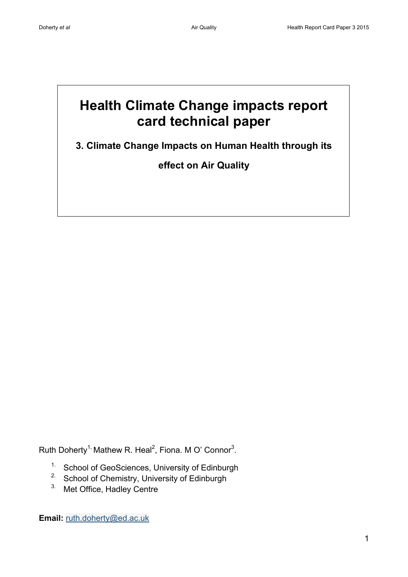# **Health Climate Change impacts report card technical paper**

**3. Climate Change Impacts on Human Health through its** 

**effect on Air Quality**

Ruth Doherty<sup>1,</sup> Mathew R. Heal<sup>2</sup>, Fiona. M O' Connor<sup>3</sup>.

- 1. School of GeoSciences, University of Edinburgh
- <sup>2.</sup> School of Chemistry, University of Edinburgh
- 3. Met Office, Hadley Centre

**Email:** [ruth.doherty@ed.ac.uk](mailto:ruth.doherty@ed.ac.uk)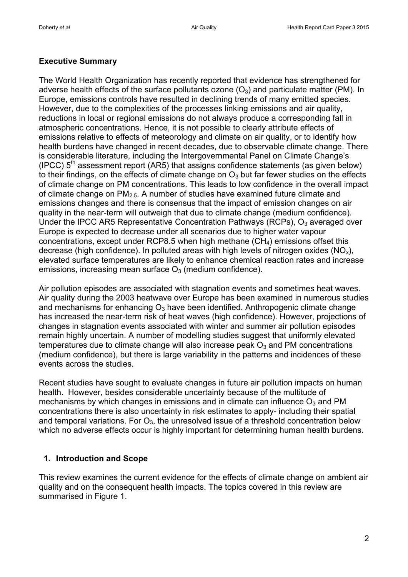### **Executive Summary**

The World Health Organization has recently reported that evidence has strengthened for adverse health effects of the surface pollutants ozone  $(O_3)$  and particulate matter (PM). In Europe, emissions controls have resulted in declining trends of many emitted species. However, due to the complexities of the processes linking emissions and air quality, reductions in local or regional emissions do not always produce a corresponding fall in atmospheric concentrations. Hence, it is not possible to clearly attribute effects of emissions relative to effects of meteorology and climate on air quality, or to identify how health burdens have changed in recent decades, due to observable climate change. There is considerable literature, including the Intergovernmental Panel on Climate Change's (IPCC)  $5<sup>th</sup>$  assessment report (AR5) that assigns confidence statements (as given below) to their findings, on the effects of climate change on  $O<sub>3</sub>$  but far fewer studies on the effects of climate change on PM concentrations. This leads to low confidence in the overall impact of climate change on  $PM<sub>2.5</sub>$ . A number of studies have examined future climate and emissions changes and there is consensus that the impact of emission changes on air quality in the near-term will outweigh that due to climate change (medium confidence). Under the IPCC AR5 Representative Concentration Pathways (RCPs),  $O_3$  averaged over Europe is expected to decrease under all scenarios due to higher water vapour concentrations, except under RCP8.5 when high methane  $(CH<sub>4</sub>)$  emissions offset this decrease (high confidence). In polluted areas with high levels of nitrogen oxides  $(NO_x)$ , elevated surface temperatures are likely to enhance chemical reaction rates and increase emissions, increasing mean surface  $O_3$  (medium confidence).

Air pollution episodes are associated with stagnation events and sometimes heat waves. Air quality during the 2003 heatwave over Europe has been examined in numerous studies and mechanisms for enhancing  $O_3$  have been identified. Anthropogenic climate change has increased the near-term risk of heat waves (high confidence). However, projections of changes in stagnation events associated with winter and summer air pollution episodes remain highly uncertain. A number of modelling studies suggest that uniformly elevated temperatures due to climate change will also increase peak  $O_3$  and PM concentrations (medium confidence), but there is large variability in the patterns and incidences of these events across the studies.

Recent studies have sought to evaluate changes in future air pollution impacts on human health. However, besides considerable uncertainty because of the multitude of mechanisms by which changes in emissions and in climate can influence  $O_3$  and PM concentrations there is also uncertainty in risk estimates to apply- including their spatial and temporal variations. For  $O_3$ , the unresolved issue of a threshold concentration below which no adverse effects occur is highly important for determining human health burdens.

### **1. Introduction and Scope**

This review examines the current evidence for the effects of climate change on ambient air quality and on the consequent health impacts. The topics covered in this review are summarised in Figure 1.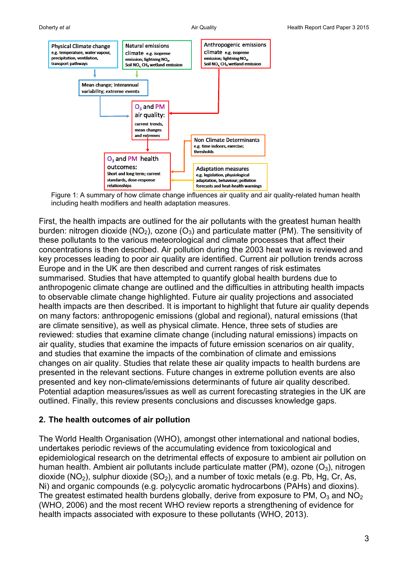

Figure 1: A summary of how climate change influences air quality and air quality-related human health including health modifiers and health adaptation measures.

First, the health impacts are outlined for the air pollutants with the greatest human health burden: nitrogen dioxide (NO<sub>2</sub>), ozone (O<sub>3</sub>) and particulate matter (PM). The sensitivity of these pollutants to the various meteorological and climate processes that affect their concentrations is then described. Air pollution during the 2003 heat wave is reviewed and key processes leading to poor air quality are identified. Current air pollution trends across Europe and in the UK are then described and current ranges of risk estimates summarised. Studies that have attempted to quantify global health burdens due to anthropogenic climate change are outlined and the difficulties in attributing health impacts to observable climate change highlighted. Future air quality projections and associated health impacts are then described. It is important to highlight that future air quality depends on many factors: anthropogenic emissions (global and regional), natural emissions (that are climate sensitive), as well as physical climate. Hence, three sets of studies are reviewed: studies that examine climate change (including natural emissions) impacts on air quality, studies that examine the impacts of future emission scenarios on air quality, and studies that examine the impacts of the combination of climate and emissions changes on air quality. Studies that relate these air quality impacts to health burdens are presented in the relevant sections. Future changes in extreme pollution events are also presented and key non-climate/emissions determinants of future air quality described. Potential adaption measures/issues as well as current forecasting strategies in the UK are outlined. Finally, this review presents conclusions and discusses knowledge gaps.

### **2. The health outcomes of air pollution**

The World Health Organisation (WHO), amongst other international and national bodies, undertakes periodic reviews of the accumulating evidence from toxicological and epidemiological research on the detrimental effects of exposure to ambient air pollution on human health. Ambient air pollutants include particulate matter (PM), ozone  $(O_3)$ , nitrogen dioxide (NO<sub>2</sub>), sulphur dioxide (SO<sub>2</sub>), and a number of toxic metals (e.g. Pb, Hg, Cr, As, Ni) and organic compounds (e.g. polycyclic aromatic hydrocarbons (PAHs) and dioxins). The greatest estimated health burdens globally, derive from exposure to PM,  $O_3$  and NO<sub>2</sub> (WHO, 2006) and the most recent WHO review reports a strengthening of evidence for health impacts associated with exposure to these pollutants (WHO, 2013).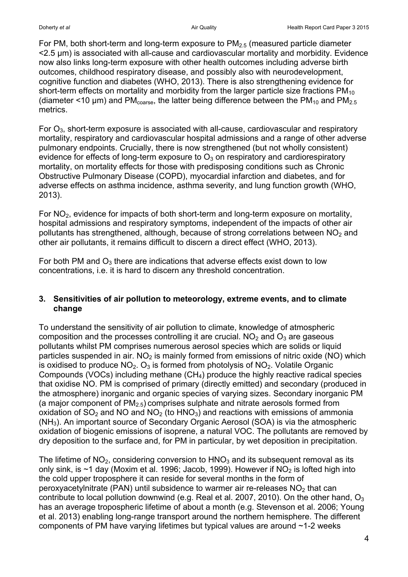For PM, both short-term and long-term exposure to  $PM<sub>2.5</sub>$  (measured particle diameter <2.5 μm) is associated with all-cause and cardiovascular mortality and morbidity. Evidence now also links long-term exposure with other health outcomes including adverse birth outcomes, childhood respiratory disease, and possibly also with neurodevelopment, cognitive function and diabetes (WHO, 2013). There is also strengthening evidence for short-term effects on mortality and morbidity from the larger particle size fractions  $PM_{10}$ (diameter <10  $\mu$ m) and PM<sub>coarse</sub>, the latter being difference between the PM<sub>10</sub> and PM<sub>2.5</sub> metrics.

For  $O_3$ , short-term exposure is associated with all-cause, cardiovascular and respiratory mortality, respiratory and cardiovascular hospital admissions and a range of other adverse pulmonary endpoints. Crucially, there is now strengthened (but not wholly consistent) evidence for effects of long-term exposure to  $O_3$  on respiratory and cardiorespiratory mortality, on mortality effects for those with predisposing conditions such as Chronic Obstructive Pulmonary Disease (COPD), myocardial infarction and diabetes, and for adverse effects on asthma incidence, asthma severity, and lung function growth (WHO, 2013).

For  $NO<sub>2</sub>$ , evidence for impacts of both short-term and long-term exposure on mortality, hospital admissions and respiratory symptoms, independent of the impacts of other air pollutants has strengthened, although, because of strong correlations between  $NO<sub>2</sub>$  and other air pollutants, it remains difficult to discern a direct effect (WHO, 2013).

For both PM and  $O_3$  there are indications that adverse effects exist down to low concentrations, i.e. it is hard to discern any threshold concentration.

### **3. Sensitivities of air pollution to meteorology, extreme events, and to climate change**

To understand the sensitivity of air pollution to climate, knowledge of atmospheric composition and the processes controlling it are crucial.  $NO<sub>2</sub>$  and  $O<sub>3</sub>$  are gaseous pollutants whilst PM comprises numerous aerosol species which are solids or liquid particles suspended in air.  $NO<sub>2</sub>$  is mainly formed from emissions of nitric oxide (NO) which is oxidised to produce  $NO<sub>2</sub>$ . O<sub>3</sub> is formed from photolysis of  $NO<sub>2</sub>$ . Volatile Organic Compounds (VOCs) including methane  $(CH<sub>4</sub>)$  produce the highly reactive radical species that oxidise NO. PM is comprised of primary (directly emitted) and secondary (produced in the atmosphere) inorganic and organic species of varying sizes. Secondary inorganic PM (a major component of  $PM<sub>2.5</sub>$ ) comprises sulphate and nitrate aerosols formed from oxidation of  $SO<sub>2</sub>$  and NO and NO<sub>2</sub> (to HNO<sub>3</sub>) and reactions with emissions of ammonia (NH3). An important source of Secondary Organic Aerosol (SOA) is via the atmospheric oxidation of biogenic emissions of isoprene, a natural VOC. The pollutants are removed by dry deposition to the surface and, for PM in particular, by wet deposition in precipitation.

The lifetime of  $NO<sub>2</sub>$ , considering conversion to  $HNO<sub>3</sub>$  and its subsequent removal as its only sink, is  $\sim$ 1 day (Moxim et al. 1996; Jacob, 1999). However if NO<sub>2</sub> is lofted high into the cold upper troposphere it can reside for several months in the form of peroxyacetylnitrate (PAN) until subsidence to warmer air re-releases  $NO<sub>2</sub>$  that can contribute to local pollution downwind (e.g. Real et al. 2007, 2010). On the other hand,  $O_3$ has an average tropospheric lifetime of about a month (e.g. Stevenson et al. 2006; Young et al. 2013) enabling long-range transport around the northern hemisphere. The different components of PM have varying lifetimes but typical values are around ~1-2 weeks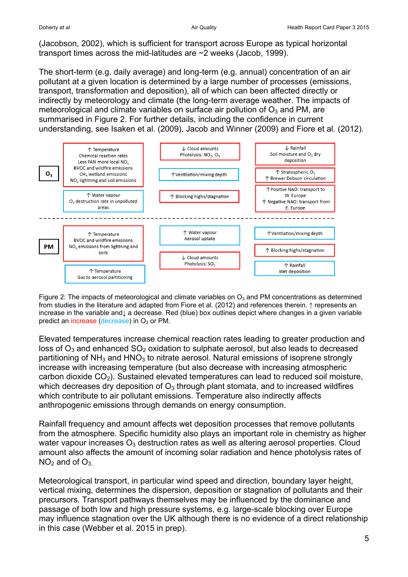(Jacobson, 2002), which is sufficient for transport across Europe as typical horizontal transport times across the mid-latitudes are ~2 weeks (Jacob, 1999).

The short-term (e.g. daily average) and long-term (e.g. annual) concentration of an air pollutant at a given location is determined by a large number of processes (emissions, transport, transformation and deposition), all of which can been affected directly or indirectly by meteorology and climate (the long-term average weather. The impacts of meteorological and climate variables on surface air pollution of  $O<sub>3</sub>$  and PM, are summarised in Figure 2. For further details, including the confidence in current understanding, see Isaken et al. (2009), Jacob and Winner (2009) and Fiore et al. (2012).



Figure 2: The impacts of meteorological and climate variables on  $O_3$  and PM concentrations as determined from studies in the literature and adapted from Fiore et al. (2012) and references therein. ↑ represents an increase in the variable and↓ a decrease. Red (blue) box outlines depict where changes in a given variable predict an increase (decrease) in  $O_3$  or PM.

Elevated temperatures increase chemical reaction rates leading to greater production and loss of  $O_3$  and enhanced  $SO_2$  oxidation to sulphate aerosol, but also leads to decreased partitioning of  $NH<sub>3</sub>$  and  $HNO<sub>3</sub>$  to nitrate aerosol. Natural emissions of isoprene strongly increase with increasing temperature (but also decrease with increasing atmospheric carbon dioxide  $CO<sub>2</sub>$ ). Sustained elevated temperatures can lead to reduced soil moisture, which decreases dry deposition of  $O_3$  through plant stomata, and to increased wildfires which contribute to air pollutant emissions. Temperature also indirectly affects anthropogenic emissions through demands on energy consumption.

Rainfall frequency and amount affects wet deposition processes that remove pollutants from the atmosphere. Specific humidity also plays an important role in chemistry as higher water vapour increases  $O_3$  destruction rates as well as altering aerosol properties. Cloud amount also affects the amount of incoming solar radiation and hence photolysis rates of  $NO<sub>2</sub>$  and of  $O<sub>3</sub>$ .

Meteorological transport, in particular wind speed and direction, boundary layer height, vertical mixing, determines the dispersion, deposition or stagnation of pollutants and their precursors. Transport pathways themselves may be influenced by the dominance and passage of both low and high pressure systems, e.g. large-scale blocking over Europe may influence stagnation over the UK although there is no evidence of a direct relationship in this case (Webber et al. 2015 in prep).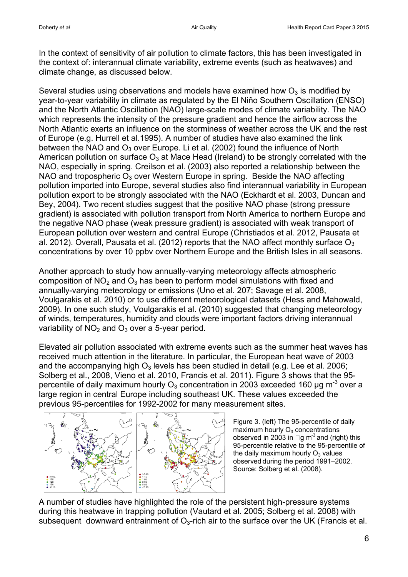In the context of sensitivity of air pollution to climate factors, this has been investigated in the context of: interannual climate variability, extreme events (such as heatwaves) and climate change, as discussed below.

Several studies using observations and models have examined how  $O<sub>3</sub>$  is modified by year-to-year variability in climate as regulated by the El Niño Southern Oscillation (ENSO) and the North Atlantic Oscillation (NAO) large-scale modes of climate variability. The NAO which represents the intensity of the pressure gradient and hence the airflow across the North Atlantic exerts an influence on the storminess of weather across the UK and the rest of Europe (e.g. Hurrell et al.1995). A number of studies have also examined the link between the NAO and  $O_3$  over Europe. Li et al. (2002) found the influence of North American pollution on surface  $O_3$  at Mace Head (Ireland) to be strongly correlated with the NAO, especially in spring. Creilson et al. (2003) also reported a relationship between the NAO and tropospheric  $O_3$  over Western Europe in spring. Beside the NAO affecting pollution imported into Europe, several studies also find interannual variability in European pollution export to be strongly associated with the NAO (Eckhardt et al. 2003, Duncan and Bey, 2004). Two recent studies suggest that the positive NAO phase (strong pressure gradient) is associated with pollution transport from North America to northern Europe and the negative NAO phase (weak pressure gradient) is associated with weak transport of European pollution over western and central Europe (Christiados et al. 2012, Pausata et al. 2012). Overall, Pausata et al. (2012) reports that the NAO affect monthly surface  $O_3$ concentrations by over 10 ppbv over Northern Europe and the British Isles in all seasons.

Another approach to study how annually-varying meteorology affects atmospheric composition of  $NO<sub>2</sub>$  and  $O<sub>3</sub>$  has been to perform model simulations with fixed and annually-varying meteorology or emissions (Uno et al. 207; Savage et al. 2008, Voulgarakis et al. 2010) or to use different meteorological datasets (Hess and Mahowald, 2009). In one such study, Voulgarakis et al. (2010) suggested that changing meteorology of winds, temperatures, humidity and clouds were important factors driving interannual variability of  $NO<sub>2</sub>$  and  $O<sub>3</sub>$  over a 5-year period.

Elevated air pollution associated with extreme events such as the summer heat waves has received much attention in the literature. In particular, the European heat wave of 2003 and the accompanying high  $O_3$  levels has been studied in detail (e.g. Lee et al. 2006; Solberg et al., 2008, Vieno et al. 2010, Francis et al. 2011). Figure 3 shows that the 95 percentile of daily maximum hourly O<sub>3</sub> concentration in 2003 exceeded 160 µg m<sup>-3</sup> over a large region in central Europe including southeast UK. These values exceeded the previous 95-percentiles for 1992-2002 for many measurement sites.



Figure 3. (left) The 95-percentile of daily maximum hourly  $O<sub>3</sub>$  concentrations  $\mathsf{I}^3$  and (right) this 95-percentile relative to the 95-percentile of the daily maximum hourly  $O<sub>3</sub>$  values observed during the period 1991–2002. Source: Solberg et al. (2008).

A number of studies have highlighted the role of the persistent high-pressure systems during this heatwave in trapping pollution (Vautard et al. 2005; Solberg et al. 2008) with subsequent downward entrainment of  $O<sub>3</sub>$ -rich air to the surface over the UK (Francis et al.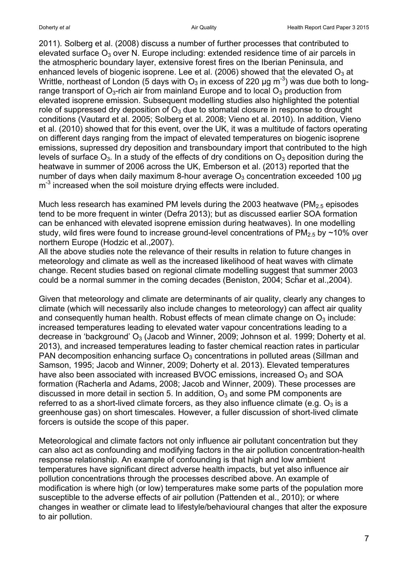2011). Solberg et al. (2008) discuss a number of further processes that contributed to elevated surface  $O_3$  over N. Europe including: extended residence time of air parcels in the atmospheric boundary layer, extensive forest fires on the Iberian Peninsula, and enhanced levels of biogenic isoprene. Lee et al. (2006) showed that the elevated  $O_3$  at Writtle, northeast of London (5 days with O<sub>3</sub> in excess of 220 µg m<sup>-3</sup>) was due both to longrange transport of  $O_3$ -rich air from mainland Europe and to local  $O_3$  production from elevated isoprene emission. Subsequent modelling studies also highlighted the potential role of suppressed dry deposition of  $O_3$  due to stomatal closure in response to drought conditions (Vautard et al. 2005; Solberg et al. 2008; Vieno et al. 2010). In addition, Vieno et al. (2010) showed that for this event, over the UK, it was a multitude of factors operating on different days ranging from the impact of elevated temperatures on biogenic isoprene emissions, supressed dry deposition and transboundary import that contributed to the high levels of surface  $O_3$ . In a study of the effects of dry conditions on  $O_3$  deposition during the heatwave in summer of 2006 across the UK, Emberson et al. (2013) reported that the number of days when daily maximum 8-hour average  $O_3$  concentration exceeded 100 µg m<sup>-3</sup> increased when the soil moisture drying effects were included.

Much less research has examined PM levels during the 2003 heatwave (PM<sub>2.5</sub> episodes) tend to be more frequent in winter (Defra 2013); but as discussed earlier SOA formation can be enhanced with elevated isoprene emission during heatwaves). In one modelling study, wild fires were found to increase ground-level concentrations of  $PM_{2.5}$  by  $\sim$ 10% over northern Europe (Hodzic et al.,2007).

All the above studies note the relevance of their results in relation to future changes in meteorology and climate as well as the increased likelihood of heat waves with climate change. Recent studies based on regional climate modelling suggest that summer 2003 could be a normal summer in the coming decades (Beniston, 2004; Schar et al., 2004).

Given that meteorology and climate are determinants of air quality, clearly any changes to climate (which will necessarily also include changes to meteorology) can affect air quality and consequently human health. Robust effects of mean climate change on  $O_3$  include: increased temperatures leading to elevated water vapour concentrations leading to a decrease in 'background' O<sub>3</sub> (Jacob and Winner, 2009; Johnson et al. 1999; Doherty et al. 2013), and increased temperatures leading to faster chemical reaction rates in particular PAN decomposition enhancing surface  $O_3$  concentrations in polluted areas (Sillman and Samson, 1995; Jacob and Winner, 2009; Doherty et al. 2013). Elevated temperatures have also been associated with increased BVOC emissions, increased  $O<sub>3</sub>$  and SOA formation (Racherla and Adams, 2008; Jacob and Winner, 2009). These processes are discussed in more detail in section 5. In addition,  $O_3$  and some PM components are referred to as a short-lived climate forcers, as they also influence climate (e.g.  $O_3$  is a greenhouse gas) on short timescales. However, a fuller discussion of short-lived climate forcers is outside the scope of this paper.

Meteorological and climate factors not only influence air pollutant concentration but they can also act as confounding and modifying factors in the air pollution concentration-health response relationship. An example of confounding is that high and low ambient temperatures have significant direct adverse health impacts, but yet also influence air pollution concentrations through the processes described above. An example of modification is where high (or low) temperatures make some parts of the population more susceptible to the adverse effects of air pollution (Pattenden et al., 2010); or where changes in weather or climate lead to lifestyle/behavioural changes that alter the exposure to air pollution.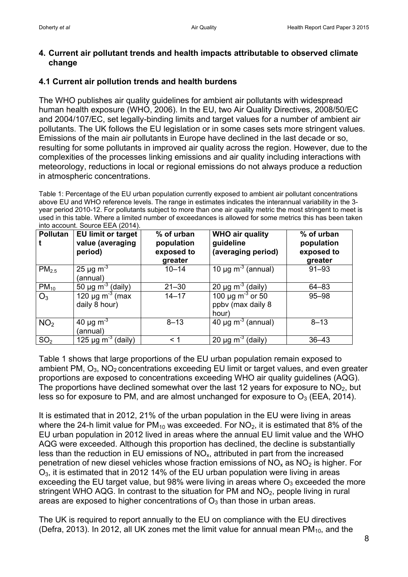#### **4. Current air pollutant trends and health impacts attributable to observed climate change**

### **4.1 Current air pollution trends and health burdens**

The WHO publishes air quality guidelines for ambient air pollutants with widespread human health exposure (WHO, 2006). In the EU, two Air Quality Directives, 2008/50/EC and 2004/107/EC, set legally-binding limits and target values for a number of ambient air pollutants. The UK follows the EU legislation or in some cases sets more stringent values. Emissions of the main air pollutants in Europe have declined in the last decade or so, resulting for some pollutants in improved air quality across the region. However, due to the complexities of the processes linking emissions and air quality including interactions with meteorology, reductions in local or regional emissions do not always produce a reduction in atmospheric concentrations.

Table 1: Percentage of the EU urban population currently exposed to ambient air pollutant concentrations above EU and WHO reference levels. The range in estimates indicates the interannual variability in the 3 year period 2010-12. For pollutants subject to more than one air quality metric the most stringent to meet is used in this table. Where a limited number of exceedances is allowed for some metrics this has been taken into account. Source EEA (2014).

| <b>Pollutan</b>   | <b>EU limit or target</b><br>value (averaging<br>period) | % of urban<br>population<br>exposed to<br>greater | <b>WHO air quality</b><br>guideline<br>(averaging period) | % of urban<br>population<br>exposed to<br>greater |
|-------------------|----------------------------------------------------------|---------------------------------------------------|-----------------------------------------------------------|---------------------------------------------------|
| PM <sub>2.5</sub> | 25 µg $m^{-3}$<br>(annual)                               | $10 - 14$                                         | 10 $\mu$ g m <sup>-3</sup> (annual)                       | $91 - 93$                                         |
| $PM_{10}$         | 50 µg $\overline{m^{-3}}$ (daily)                        | $21 - 30$                                         | 20 $\mu$ g m <sup>-3</sup> (daily)                        | 64-83                                             |
| $O_3$             | 120 $\mu$ g m <sup>-3</sup> (max<br>daily 8 hour)        | $14 - 17$                                         | $100 \mu g m^{-3}$ or 50<br>ppbv (max daily 8<br>hour)    | $95 - 98$                                         |
| NO <sub>2</sub>   | 40 $\mu$ g m <sup>-3</sup><br>(annual)                   | $8 - 13$                                          | $40 \mu g m-3$ (annual)                                   | $8 - 13$                                          |
| SO <sub>2</sub>   | 125 $\mu$ g m <sup>-3</sup><br>(daily)                   | < 1                                               | 20 $\mu$ g m <sup>-3</sup> (daily)                        | $36 - 43$                                         |

Table 1 shows that large proportions of the EU urban population remain exposed to ambient PM,  $O_3$ , NO<sub>2</sub> concentrations exceeding EU limit or target values, and even greater proportions are exposed to concentrations exceeding WHO air quality guidelines (AQG). The proportions have declined somewhat over the last 12 years for exposure to  $NO<sub>2</sub>$ , but less so for exposure to PM, and are almost unchanged for exposure to  $O_3$  (EEA, 2014).

It is estimated that in 2012, 21% of the urban population in the EU were living in areas where the 24-h limit value for  $PM_{10}$  was exceeded. For  $NO<sub>2</sub>$ , it is estimated that 8% of the EU urban population in 2012 lived in areas where the annual EU limit value and the WHO AQG were exceeded. Although this proportion has declined, the decline is substantially less than the reduction in EU emissions of  $NO<sub>x</sub>$ , attributed in part from the increased penetration of new diesel vehicles whose fraction emissions of  $NO<sub>x</sub>$  as  $NO<sub>2</sub>$  is higher. For  $O<sub>3</sub>$ , it is estimated that in 2012 14% of the EU urban population were living in areas exceeding the EU target value, but 98% were living in areas where  $O_3$  exceeded the more stringent WHO AQG. In contrast to the situation for PM and  $NO<sub>2</sub>$ , people living in rural areas are exposed to higher concentrations of  $O<sub>3</sub>$  than those in urban areas.

The UK is required to report annually to the EU on compliance with the EU directives (Defra, 2013). In 2012, all UK zones met the limit value for annual mean  $PM_{10}$ , and the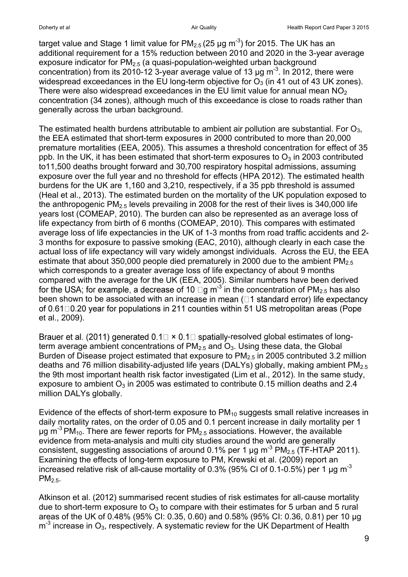target value and Stage 1 limit value for PM $_{2.5}$  (25 µg m<sup>-3</sup>) for 2015. The UK has an additional requirement for a 15% reduction between 2010 and 2020 in the 3-year average exposure indicator for  $PM<sub>2.5</sub>$  (a quasi-population-weighted urban background concentration) from its 2010-12 3-year average value of 13  $\mu$ g m<sup>-3</sup>. In 2012, there were widespread exceedances in the EU long-term objective for  $O<sub>3</sub>$  (in 41 out of 43 UK zones). There were also widespread exceedances in the EU limit value for annual mean  $NO<sub>2</sub>$ concentration (34 zones), although much of this exceedance is close to roads rather than generally across the urban background.

The estimated health burdens attributable to ambient air pollution are substantial. For  $O_3$ , the EEA estimated that short-term exposures in 2000 contributed to more than 20,000 premature mortalities (EEA, 2005). This assumes a threshold concentration for effect of 35 ppb. In the UK, it has been estimated that short-term exposures to  $O_3$  in 2003 contributed to11,500 deaths brought forward and 30,700 respiratory hospital admissions, assuming exposure over the full year and no threshold for effects (HPA 2012). The estimated health burdens for the UK are 1,160 and 3,210, respectively, if a 35 ppb threshold is assumed (Heal et al., 2013). The estimated burden on the mortality of the UK population exposed to the anthropogenic  $PM<sub>2.5</sub>$  levels prevailing in 2008 for the rest of their lives is 340,000 life years lost (COMEAP, 2010). The burden can also be represented as an average loss of life expectancy from birth of 6 months (COMEAP, 2010). This compares with estimated average loss of life expectancies in the UK of 1-3 months from road traffic accidents and 2- 3 months for exposure to passive smoking (EAC, 2010), although clearly in each case the actual loss of life expectancy will vary widely amongst individuals. Across the EU, the EEA estimate that about 350,000 people died prematurely in 2000 due to the ambient  $PM_{2.5}$ which corresponds to a greater average loss of life expectancy of about 9 months compared with the average for the UK (EEA, 2005). Similar numbers have been derived  $13$  in the concentration of PM<sub>2.5</sub> has also been shown to be associated with an increase in mean  $($  $\Box$ 1 standard error) life expectancy of  $0.61\Box 0.20$  year for populations in 211 counties within 51 US metropolitan areas (Pope et al., 2009).

Brauer et al. (2011) generated  $0.1\Box \times 0.1\Box$  spatially-resolved global estimates of longterm average ambient concentrations of  $PM<sub>2.5</sub>$  and  $O<sub>3</sub>$ . Using these data, the Global Burden of Disease project estimated that exposure to  $PM<sub>2.5</sub>$  in 2005 contributed 3.2 million deaths and 76 million disability-adjusted life years (DALYs) globally, making ambient  $PM<sub>2.5</sub>$ the 9th most important health risk factor investigated (Lim et al., 2012). In the same study, exposure to ambient  $O_3$  in 2005 was estimated to contribute 0.15 million deaths and 2.4 million DALYs globally.

Evidence of the effects of short-term exposure to  $PM_{10}$  suggests small relative increases in daily mortality rates, on the order of 0.05 and 0.1 percent increase in daily mortality per 1 μg m<sup>-3</sup> PM<sub>10</sub>. There are fewer reports for PM<sub>2.5</sub> associations. However, the available evidence from meta-analysis and multi city studies around the world are generally consistent, suggesting associations of around 0.1% per 1  $\mu$ g m<sup>-3</sup> PM<sub>2.5</sub> (TF-HTAP 2011). Examining the effects of long-term exposure to PM, Krewski et al. (2009) report an increased relative risk of all-cause mortality of 0.3% (95% CI of 0.1-0.5%) per 1 μg m-3 PM<sub>2.5</sub>.

Atkinson et al. (2012) summarised recent studies of risk estimates for all-cause mortality due to short-term exposure to  $O_3$  to compare with their estimates for 5 urban and 5 rural areas of the UK of 0.48% (95% CI: 0.35, 0.60) and 0.58% (95% CI: 0.36, 0.81) per 10 μg  $m<sup>-3</sup>$  increase in O<sub>3</sub>, respectively. A systematic review for the UK Department of Health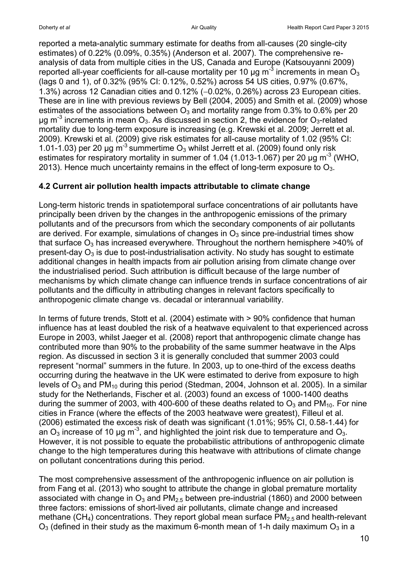reported a meta-analytic summary estimate for deaths from all-causes (20 single-city estimates) of 0.22% (0.09%, 0.35%) (Anderson et al. 2007). The comprehensive reanalysis of data from multiple cities in the US, Canada and Europe (Katsouyanni 2009) reported all-year coefficients for all-cause mortality per 10 µg m<sup>-3</sup> increments in mean  $\rm O_3$ (lags 0 and 1), of 0.32% (95% CI: 0.12%, 0.52%) across 54 US cities, 0.97% (0.67%, 1.3%) across 12 Canadian cities and  $0.12\%$  ( $-0.02\%$ ,  $0.26\%$ ) across 23 European cities. These are in line with previous reviews by Bell (2004, 2005) and Smith et al. (2009) whose estimates of the associations between  $O_3$  and mortality range from 0.3% to 0.6% per 20 μg m<sup>-3</sup> increments in mean O<sub>3</sub>. As discussed in section 2, the evidence for O<sub>3</sub>-related mortality due to long-term exposure is increasing (e.g. Krewski et al. 2009; Jerrett et al. 2009). Krewski et al. (2009) give risk estimates for all-cause mortality of 1.02 (95% CI: 1.01-1.03) per 20 µg  $m<sup>-3</sup>$  summertime  $O_3$  whilst Jerrett et al. (2009) found only risk estimates for respiratory mortality in summer of 1.04 (1.013-1.067) per 20  $\mu$ g m<sup>-3</sup> (WHO, 2013). Hence much uncertainty remains in the effect of long-term exposure to  $O_3$ .

### **4.2 Current air pollution health impacts attributable to climate change**

Long-term historic trends in spatiotemporal surface concentrations of air pollutants have principally been driven by the changes in the anthropogenic emissions of the primary pollutants and of the precursors from which the secondary components of air pollutants are derived. For example, simulations of changes in  $O_3$  since pre-industrial times show that surface  $O_3$  has increased everywhere. Throughout the northern hemisphere  $>40\%$  of present-day  $O_3$  is due to post-industrialisation activity. No study has sought to estimate additional changes in health impacts from air pollution arising from climate change over the industrialised period. Such attribution is difficult because of the large number of mechanisms by which climate change can influence trends in surface concentrations of air pollutants and the difficulty in attributing changes in relevant factors specifically to anthropogenic climate change vs. decadal or interannual variability.

In terms of future trends, Stott et al. (2004) estimate with > 90% confidence that human influence has at least doubled the risk of a heatwave equivalent to that experienced across Europe in 2003, whilst Jaeger et al. (2008) report that anthropogenic climate change has contributed more than 90% to the probability of the same summer heatwave in the Alps region. As discussed in section 3 it is generally concluded that summer 2003 could represent "normal" summers in the future. In 2003, up to one-third of the excess deaths occurring during the heatwave in the UK were estimated to derive from exposure to high levels of  $O_3$  and PM<sub>10</sub> during this period (Stedman, 2004, Johnson et al. 2005). In a similar study for the Netherlands, Fischer et al. (2003) found an excess of 1000-1400 deaths during the summer of 2003, with 400-600 of these deaths related to  $O_3$  and PM<sub>10</sub>. For nine cities in France (where the effects of the 2003 heatwave were greatest), Filleul et al. (2006) estimated the excess risk of death was significant (1.01%; 95% CI, 0.58-1.44) for an O<sub>3</sub> increase of 10 µg m<sup>-3</sup>, and highlighted the joint risk due to temperature and O<sub>3</sub>. However, it is not possible to equate the probabilistic attributions of anthropogenic climate change to the high temperatures during this heatwave with attributions of climate change on pollutant concentrations during this period.

The most comprehensive assessment of the anthropogenic influence on air pollution is from Fang et al. (2013) who sought to attribute the change in global premature mortality associated with change in  $O_3$  and  $PM_{2.5}$  between pre-industrial (1860) and 2000 between three factors: emissions of short-lived air pollutants, climate change and increased methane (CH<sub>4</sub>) concentrations. They report global mean surface  $PM_{2.5}$  and health-relevant  $O_3$  (defined in their study as the maximum 6-month mean of 1-h daily maximum  $O_3$  in a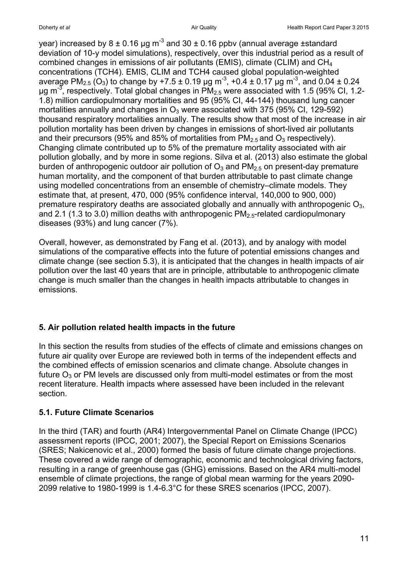year) increased by 8 ± 0.16 µg m<sup>-3</sup> and 30 ± 0.16 ppbv (annual average ±standard deviation of 10-y model simulations), respectively, over this industrial period as a result of combined changes in emissions of air pollutants (EMIS), climate (CLIM) and CH<sup>4</sup> concentrations (TCH4). EMIS, CLIM and TCH4 caused global population-weighted average PM<sub>2.5</sub> (O<sub>3</sub>) to change by +7.5 ± 0.19 µg m<sup>-3</sup>, +0.4 ± 0.17 µg m<sup>-3</sup>, and 0.04 ± 0.24  $\mu$ g m $^{-3}$ , respectively. Total global changes in PM<sub>2.5</sub> were associated with 1.5 (95% CI, 1.2-1.8) million cardiopulmonary mortalities and 95 (95% CI, 44-144) thousand lung cancer mortalities annually and changes in  $O_3$  were associated with 375 (95% CI, 129-592) thousand respiratory mortalities annually. The results show that most of the increase in air pollution mortality has been driven by changes in emissions of short-lived air pollutants and their precursors (95% and 85% of mortalities from  $PM_{2.5}$  and  $O_3$  respectively). Changing climate contributed up to 5% of the premature mortality associated with air pollution globally, and by more in some regions. Silva et al. (2013) also estimate the global burden of anthropogenic outdoor air pollution of  $O_3$  and  $PM_{2.5}$  on present-day premature human mortality, and the component of that burden attributable to past climate change using modelled concentrations from an ensemble of chemistry–climate models. They estimate that, at present, 470, 000 (95% confidence interval, 140,000 to 900, 000) premature respiratory deaths are associated globally and annually with anthropogenic  $O_3$ , and 2.1 (1.3 to 3.0) million deaths with anthropogenic  $PM_{2.5}$ -related cardiopulmonary diseases (93%) and lung cancer (7%).

Overall, however, as demonstrated by Fang et al. (2013), and by analogy with model simulations of the comparative effects into the future of potential emissions changes and climate change (see section 5.3), it is anticipated that the changes in health impacts of air pollution over the last 40 years that are in principle, attributable to anthropogenic climate change is much smaller than the changes in health impacts attributable to changes in emissions.

# **5. Air pollution related health impacts in the future**

In this section the results from studies of the effects of climate and emissions changes on future air quality over Europe are reviewed both in terms of the independent effects and the combined effects of emission scenarios and climate change. Absolute changes in future  $O_3$  or PM levels are discussed only from multi-model estimates or from the most recent literature. Health impacts where assessed have been included in the relevant section.

# **5.1. Future Climate Scenarios**

In the third (TAR) and fourth (AR4) Intergovernmental Panel on Climate Change (IPCC) assessment reports (IPCC, 2001; 2007), the Special Report on Emissions Scenarios (SRES; Nakicenovic et al., 2000) formed the basis of future climate change projections. These covered a wide range of demographic, economic and technological driving factors, resulting in a range of greenhouse gas (GHG) emissions. Based on the AR4 multi-model ensemble of climate projections, the range of global mean warming for the years 2090- 2099 relative to 1980-1999 is 1.4-6.3°C for these SRES scenarios (IPCC, 2007).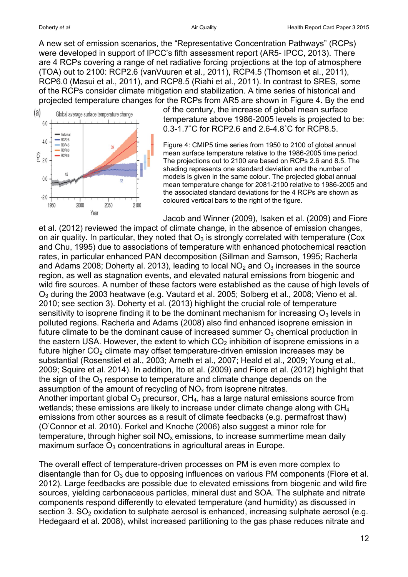A new set of emission scenarios, the "Representative Concentration Pathways" (RCPs) were developed in support of IPCC's fifth assessment report (AR5- IPCC, 2013). There are 4 RCPs covering a range of net radiative forcing projections at the top of atmosphere (TOA) out to 2100: RCP2.6 (vanVuuren et al., 2011), RCP4.5 (Thomson et al., 2011), RCP6.0 (Masui et al., 2011), and RCP8.5 (Riahi et al., 2011). In contrast to SRES, some of the RCPs consider climate mitigation and stabilization. A time series of historical and projected temperature changes for the RCPs from AR5 are shown in Figure 4. By the end



of the century, the increase of global mean surface temperature above 1986-2005 levels is projected to be: 0.3-1.7˚C for RCP2.6 and 2.6-4.8˚C for RCP8.5.

Figure 4: CMIP5 time series from 1950 to 2100 of global annual mean surface temperature relative to the 1986-2005 time period. The projections out to 2100 are based on RCPs 2.6 and 8.5. The shading represents one standard deviation and the number of models is given in the same colour. The projected global annual mean temperature change for 2081-2100 relative to 1986-2005 and the associated standard deviations for the 4 RCPs are shown as coloured vertical bars to the right of the figure.

Jacob and Winner (2009), Isaken et al. (2009) and Fiore et al. (2012) reviewed the impact of climate change, in the absence of emission changes, on air quality. In particular, they noted that  $O_3$  is strongly correlated with temperature (Cox and Chu, 1995) due to associations of temperature with enhanced photochemical reaction rates, in particular enhanced PAN decomposition (Sillman and Samson, 1995; Racherla and Adams 2008; Doherty al. 2013), leading to local  $NO<sub>2</sub>$  and  $O<sub>3</sub>$  increases in the source region, as well as stagnation events, and elevated natural emissions from biogenic and wild fire sources. A number of these factors were established as the cause of high levels of O<sup>3</sup> during the 2003 heatwave (e.g. Vautard et al. 2005; Solberg et al., 2008; Vieno et al. 2010; see section 3). Doherty et al. (2013) highlight the crucial role of temperature sensitivity to isoprene finding it to be the dominant mechanism for increasing  $O_3$  levels in polluted regions. Racherla and Adams (2008) also find enhanced isoprene emission in future climate to be the dominant cause of increased summer  $O_3$  chemical production in the eastern USA. However, the extent to which  $CO<sub>2</sub>$  inhibition of isoprene emissions in a future higher  $CO<sub>2</sub>$  climate may offset temperature-driven emission increases may be substantial (Rosenstiel et al., 2003; Arneth et al., 2007; Heald et al., 2009; Young et al., 2009; Squire et al. 2014). In addition, Ito et al. (2009) and Fiore et al. (2012) highlight that the sign of the  $O_3$  response to temperature and climate change depends on the assumption of the amount of recycling of  $NO<sub>x</sub>$  from isoprene nitrates. Another important global  $O_3$  precursor,  $CH_4$ , has a large natural emissions source from wetlands; these emissions are likely to increase under climate change along with CH<sup>4</sup> emissions from other sources as a result of climate feedbacks (e.g. permafrost thaw) (O'Connor et al. 2010). Forkel and Knoche (2006) also suggest a minor role for temperature, through higher soil  $NO<sub>x</sub>$  emissions, to increase summertime mean daily maximum surface  $O_3$  concentrations in agricultural areas in Europe.

The overall effect of temperature-driven processes on PM is even more complex to disentangle than for  $O_3$  due to opposing influences on various PM components (Fiore et al. 2012). Large feedbacks are possible due to elevated emissions from biogenic and wild fire sources, yielding carbonaceous particles, mineral dust and SOA. The sulphate and nitrate components respond differently to elevated temperature (and humidity) as discussed in section 3.  $SO<sub>2</sub>$  oxidation to sulphate aerosol is enhanced, increasing sulphate aerosol (e.g. Hedegaard et al. 2008), whilst increased partitioning to the gas phase reduces nitrate and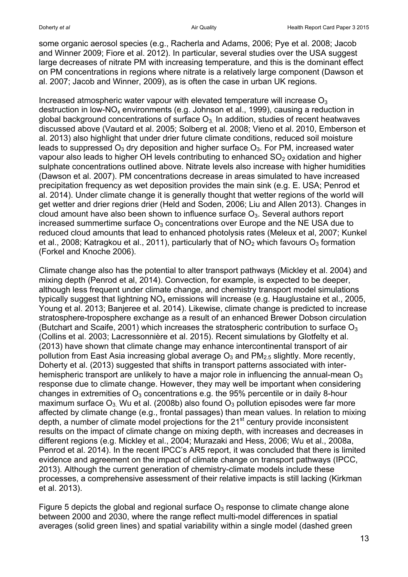some organic aerosol species (e.g., Racherla and Adams, 2006; Pye et al. 2008; Jacob and Winner 2009; Fiore et al. 2012). In particular, several studies over the USA suggest large decreases of nitrate PM with increasing temperature, and this is the dominant effect on PM concentrations in regions where nitrate is a relatively large component (Dawson et al. 2007; Jacob and Winner, 2009), as is often the case in urban UK regions.

Increased atmospheric water vapour with elevated temperature will increase  $O<sub>3</sub>$ destruction in low-NO<sub>x</sub> environments (e.g. Johnson et al., 1999), causing a reduction in global background concentrations of surface  $O_3$  In addition, studies of recent heatwaves discussed above (Vautard et al. 2005; Solberg et al. 2008; Vieno et al. 2010, Emberson et al. 2013) also highlight that under drier future climate conditions, reduced soil moisture leads to suppressed  $O_3$  dry deposition and higher surface  $O_3$ . For PM, increased water vapour also leads to higher OH levels contributing to enhanced  $SO<sub>2</sub>$  oxidation and higher sulphate concentrations outlined above. Nitrate levels also increase with higher humidities (Dawson et al. 2007). PM concentrations decrease in areas simulated to have increased precipitation frequency as wet deposition provides the main sink (e.g. E. USA; Penrod et al. 2014). Under climate change it is generally thought that wetter regions of the world will get wetter and drier regions drier (Held and Soden, 2006; Liu and Allen 2013). Changes in cloud amount have also been shown to influence surface  $O<sub>3</sub>$ . Several authors report increased summertime surface  $O_3$  concentrations over Europe and the NE USA due to reduced cloud amounts that lead to enhanced photolysis rates (Meleux et al, 2007; Kunkel et al., 2008; Katragkou et al., 2011), particularly that of  $NO<sub>2</sub>$  which favours  $O<sub>3</sub>$  formation (Forkel and Knoche 2006).

Climate change also has the potential to alter transport pathways (Mickley et al. 2004) and mixing depth (Penrod et al, 2014). Convection, for example, is expected to be deeper, although less frequent under climate change, and chemistry transport model simulations typically suggest that lightning  $NO<sub>x</sub>$  emissions will increase (e.g. Hauglustaine et al., 2005, Young et al. 2013; Banjeree et al. 2014). Likewise, climate change is predicted to increase stratosphere-troposphere exchange as a result of an enhanced Brewer Dobson circulation (Butchart and Scaife, 2001) which increases the stratospheric contribution to surface  $O<sub>3</sub>$ (Collins et al. 2003; Lacressonnière et al. 2015). Recent simulations by Glotfelty et al. (2013) have shown that climate change may enhance intercontinental transport of air pollution from East Asia increasing global average  $O_3$  and  $PM_{2.5}$  slightly. More recently, Doherty et al. (2013) suggested that shifts in transport patterns associated with interhemispheric transport are unlikely to have a major role in influencing the annual-mean  $O_3$ response due to climate change. However, they may well be important when considering changes in extremities of  $O_3$  concentrations e.g. the 95% percentile or in daily 8-hour maximum surface  $O_3$ . Wu et al. (2008b) also found  $O_3$  pollution episodes were far more affected by climate change (e.g., frontal passages) than mean values. In relation to mixing depth, a number of climate model projections for the 21<sup>st</sup> century provide inconsistent results on the impact of climate change on mixing depth, with increases and decreases in different regions (e.g. Mickley et al., 2004; Murazaki and Hess, 2006; Wu et al., 2008a, Penrod et al. 2014). In the recent IPCC's AR5 report, it was concluded that there is limited evidence and agreement on the impact of climate change on transport pathways (IPCC, 2013). Although the current generation of chemistry-climate models include these processes, a comprehensive assessment of their relative impacts is still lacking (Kirkman et al. 2013).

Figure 5 depicts the global and regional surface  $O_3$  response to climate change alone between 2000 and 2030, where the range reflect multi-model differences in spatial averages (solid green lines) and spatial variability within a single model (dashed green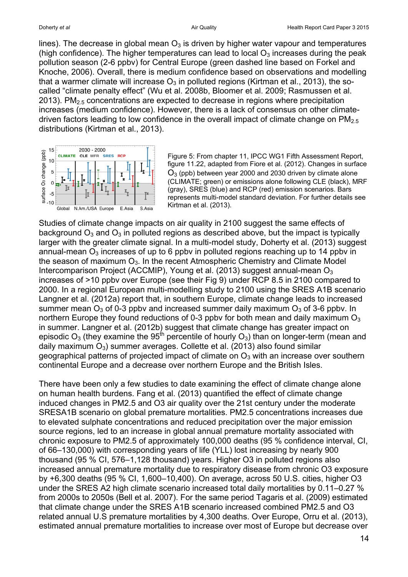lines). The decrease in global mean  $O_3$  is driven by higher water vapour and temperatures (high confidence). The higher temperatures can lead to local  $O_3$  increases during the peak pollution season (2-6 ppbv) for Central Europe (green dashed line based on Forkel and Knoche, 2006). Overall, there is medium confidence based on observations and modelling that a warmer climate will increase  $O_3$  in polluted regions (Kirtman et al., 2013), the socalled "climate penalty effect" (Wu et al. 2008b, Bloomer et al. 2009; Rasmussen et al. 2013). PM $_{2.5}$  concentrations are expected to decrease in regions where precipitation increases (medium confidence). However, there is a lack of consensus on other climatedriven factors leading to low confidence in the overall impact of climate change on  $PM<sub>2.5</sub>$ distributions (Kirtman et al., 2013).



Figure 5: From chapter 11, IPCC WG1 Fifth Assessment Report, figure 11.22, adapted from Fiore et al. (2012). Changes in surface  $O_3$  (ppb) between year 2000 and 2030 driven by climate alone (CLIMATE; green) or emissions alone following CLE (black), MRF (gray), SRES (blue) and RCP (red) emission scenarios. Bars represents multi-model standard deviation. For further details see Kirtman et al. (2013).

Studies of climate change impacts on air quality in 2100 suggest the same effects of background  $O_3$  and  $O_3$  in polluted regions as described above, but the impact is typically larger with the greater climate signal. In a multi-model study, Doherty et al. (2013) suggest annual-mean  $O_3$  increases of up to 6 ppby in polluted regions reaching up to 14 ppby in the season of maximum  $O_3$ . In the recent Atmospheric Chemistry and Climate Model Intercomparison Project (ACCMIP), Young et al. (2013) suggest annual-mean O<sub>3</sub> increases of >10 ppbv over Europe (see their Fig 9) under RCP 8.5 in 2100 compared to 2000. In a regional European multi-modelling study to 2100 using the SRES A1B scenario Langner et al. (2012a) report that, in southern Europe, climate change leads to increased summer mean  $O_3$  of 0-3 ppby and increased summer daily maximum  $O_3$  of 3-6 ppby. In northern Europe they found reductions of 0-3 ppby for both mean and daily maximum  $O_3$ in summer. Langner et al. (2012b) suggest that climate change has greater impact on episodic  $O_3$  (they examine the 95<sup>th</sup> percentile of hourly  $O_3$ ) than on longer-term (mean and daily maximum  $O_3$ ) summer averages. Collette et al. (2013) also found similar geographical patterns of projected impact of climate on  $O_3$  with an increase over southern continental Europe and a decrease over northern Europe and the British Isles.

There have been only a few studies to date examining the effect of climate change alone on human health burdens. Fang et al. (2013) quantified the effect of climate change induced changes in PM2.5 and O3 air quality over the 21st century under the moderate SRESA1B scenario on global premature mortalities. PM2.5 concentrations increases due to elevated sulphate concentrations and reduced precipitation over the major emission source regions, led to an increase in global annual premature mortality associated with chronic exposure to PM2.5 of approximately 100,000 deaths (95 % confidence interval, CI, of 66–130,000) with corresponding years of life (YLL) lost increasing by nearly 900 thousand (95 % CI, 576–1,128 thousand) years. Higher O3 in polluted regions also increased annual premature mortality due to respiratory disease from chronic O3 exposure by +6,300 deaths (95 % CI, 1,600–10,400). On average, across 50 U.S. cities, higher O3 under the SRES A2 high climate scenario increased total daily mortalities by 0.11–0.27 % from 2000s to 2050s (Bell et al. 2007). For the same period Tagaris et al. (2009) estimated that climate change under the SRES A1B scenario increased combined PM2.5 and O3 related annual U.S premature mortalities by 4,300 deaths. Over Europe, Orru et al. (2013), estimated annual premature mortalities to increase over most of Europe but decrease over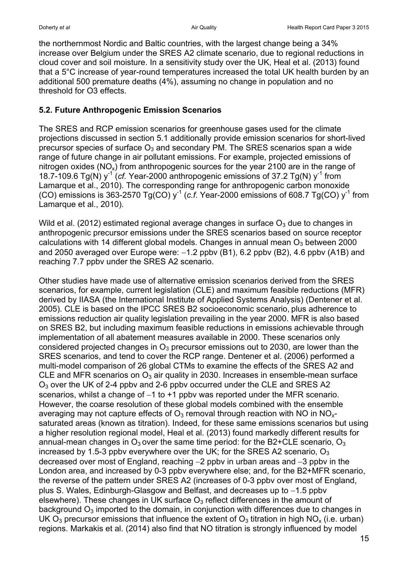the northernmost Nordic and Baltic countries, with the largest change being a 34% increase over Belgium under the SRES A2 climate scenario, due to regional reductions in cloud cover and soil moisture. In a sensitivity study over the UK, Heal et al. (2013) found that a 5°C increase of year-round temperatures increased the total UK health burden by an additional 500 premature deaths (4%), assuming no change in population and no threshold for O3 effects.

### **5.2. Future Anthropogenic Emission Scenarios**

The SRES and RCP emission scenarios for greenhouse gases used for the climate projections discussed in section 5.1 additionally provide emission scenarios for short-lived precursor species of surface  $O_3$  and secondary PM. The SRES scenarios span a wide range of future change in air pollutant emissions. For example, projected emissions of nitrogen oxides ( $NO_x$ ) from anthropogenic sources for the year 2100 are in the range of 18.7-109.6 Tg(N)  $y^{-1}$  (cf. Year-2000 anthropogenic emissions of 37.2 Tg(N)  $y^{-1}$  from Lamarque et al., 2010). The corresponding range for anthropogenic carbon monoxide (CO) emissions is 363-2570 Tg(CO)  $y^{-1}$  (c.f. Year-2000 emissions of 608.7 Tg(CO)  $y^{-1}$  from Lamarque et al., 2010).

Wild et al. (2012) estimated regional average changes in surface  $O_3$  due to changes in anthropogenic precursor emissions under the SRES scenarios based on source receptor calculations with 14 different global models. Changes in annual mean  $O_3$  between 2000 and 2050 averaged over Europe were:  $-1.2$  ppbv (B1), 6.2 ppbv (B2), 4.6 ppbv (A1B) and reaching 7.7 ppbv under the SRES A2 scenario.

Other studies have made use of alternative emission scenarios derived from the SRES scenarios, for example, current legislation (CLE) and maximum feasible reductions (MFR) derived by IIASA (the International Institute of Applied Systems Analysis) (Dentener et al. 2005). CLE is based on the IPCC SRES B2 socioeconomic scenario, plus adherence to emissions reduction air quality legislation prevailing in the year 2000. MFR is also based on SRES B2, but including maximum feasible reductions in emissions achievable through implementation of all abatement measures available in 2000. These scenarios only considered projected changes in  $O_3$  precursor emissions out to 2030, are lower than the SRES scenarios, and tend to cover the RCP range. Dentener et al. (2006) performed a multi-model comparison of 26 global CTMs to examine the effects of the SRES A2 and CLE and MFR scenarios on  $O_3$  air quality in 2030. Increases in ensemble-mean surface O<sup>3</sup> over the UK of 2-4 ppbv and 2-6 ppbv occurred under the CLE and SRES A2 scenarios, whilst a change of  $-1$  to  $+1$  ppby was reported under the MFR scenario. However, the coarse resolution of these global models combined with the ensemble averaging may not capture effects of  $O_3$  removal through reaction with NO in NO<sub>x</sub>saturated areas (known as titration). Indeed, for these same emissions scenarios but using a higher resolution regional model, Heal et al. (2013) found markedly different results for annual-mean changes in  $O_3$  over the same time period: for the B2+CLE scenario,  $O_3$ increased by 1.5-3 ppby everywhere over the UK; for the SRES A2 scenario,  $O_3$ decreased over most of England, reaching  $-2$  ppby in urban areas and  $-3$  ppby in the London area, and increased by 0-3 ppbv everywhere else; and, for the B2+MFR scenario, the reverse of the pattern under SRES A2 (increases of 0-3 ppbv over most of England, plus S. Wales. Edinburgh-Glasgow and Belfast, and decreases up to -1.5 ppbv elsewhere). These changes in UK surface  $O<sub>3</sub>$  reflect differences in the amount of background  $O_3$  imported to the domain, in conjunction with differences due to changes in UK O<sub>3</sub> precursor emissions that influence the extent of O<sub>3</sub> titration in high NO<sub>x</sub> (i.e. urban) regions. Markakis et al. (2014) also find that NO titration is strongly influenced by model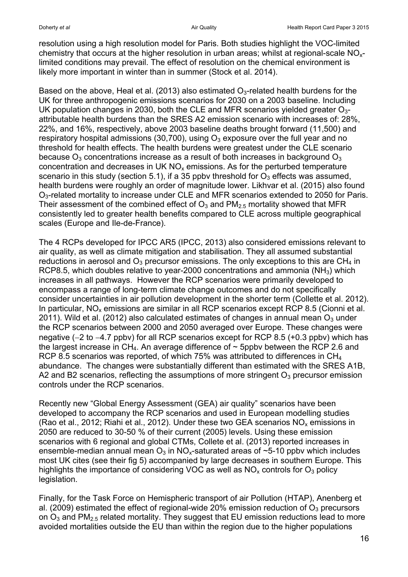resolution using a high resolution model for Paris. Both studies highlight the VOC-limited chemistry that occurs at the higher resolution in urban areas; whilst at regional-scale NOxlimited conditions may prevail. The effect of resolution on the chemical environment is likely more important in winter than in summer (Stock et al. 2014).

Based on the above, Heal et al. (2013) also estimated  $O<sub>3</sub>$ -related health burdens for the UK for three anthropogenic emissions scenarios for 2030 on a 2003 baseline. Including UK population changes in 2030, both the CLE and MFR scenarios yielded greater  $O_{3}$ attributable health burdens than the SRES A2 emission scenario with increases of: 28%, 22%, and 16%, respectively, above 2003 baseline deaths brought forward (11,500) and respiratory hospital admissions (30,700), using  $O_3$  exposure over the full year and no threshold for health effects. The health burdens were greatest under the CLE scenario because  $O_3$  concentrations increase as a result of both increases in background  $O_3$ concentration and decreases in UK  $NO<sub>x</sub>$  emissions. As for the perturbed temperature scenario in this study (section 5.1), if a 35 ppby threshold for  $O_3$  effects was assumed, health burdens were roughly an order of magnitude lower. Likhvar et al. (2015) also found O<sub>3</sub>-related mortality to increase under CLE and MFR scenarios extended to 2050 for Paris. Their assessment of the combined effect of  $O_3$  and  $PM_{2.5}$  mortality showed that MFR consistently led to greater health benefits compared to CLE across multiple geographical scales (Europe and Ile-de-France).

The 4 RCPs developed for IPCC AR5 (IPCC, 2013) also considered emissions relevant to air quality, as well as climate mitigation and stabilisation. They all assumed substantial reductions in aerosol and  $O_3$  precursor emissions. The only exceptions to this are CH<sub>4</sub> in RCP8.5, which doubles relative to year-2000 concentrations and ammonia ( $NH<sub>3</sub>$ ) which increases in all pathways. However the RCP scenarios were primarily developed to encompass a range of long-term climate change outcomes and do not specifically consider uncertainties in air pollution development in the shorter term (Collette et al. 2012). In particular,  $NO<sub>x</sub>$  emissions are similar in all RCP scenarios except RCP 8.5 (Cionni et al. 2011). Wild et al. (2012) also calculated estimates of changes in annual mean  $O_3$  under the RCP scenarios between 2000 and 2050 averaged over Europe. These changes were negative  $(-2$  to  $-4.7$  ppbv) for all RCP scenarios except for RCP 8.5  $(+0.3$  ppbv) which has the largest increase in  $CH_4$ . An average difference of  $\sim$  5ppby between the RCP 2.6 and RCP 8.5 scenarios was reported, of which 75% was attributed to differences in CH<sub>4</sub> abundance. The changes were substantially different than estimated with the SRES A1B, A2 and B2 scenarios, reflecting the assumptions of more stringent  $O<sub>3</sub>$  precursor emission controls under the RCP scenarios.

Recently new "Global Energy Assessment (GEA) air quality" scenarios have been developed to accompany the RCP scenarios and used in European modelling studies (Rao et al., 2012; Riahi et al., 2012). Under these two GEA scenarios  $NO_x$  emissions in 2050 are reduced to 30-50 % of their current (2005) levels. Using these emission scenarios with 6 regional and global CTMs, Collete et al. (2013) reported increases in ensemble-median annual mean  $O_3$  in NO<sub>x</sub>-saturated areas of ~5-10 ppby which includes most UK cites (see their fig 5) accompanied by large decreases in southern Europe. This highlights the importance of considering VOC as well as  $NO<sub>x</sub>$  controls for  $O<sub>3</sub>$  policy legislation.

Finally, for the Task Force on Hemispheric transport of air Pollution (HTAP), Anenberg et al. (2009) estimated the effect of regional-wide 20% emission reduction of  $O_3$  precursors on  $O_3$  and PM<sub>2.5</sub> related mortality. They suggest that EU emission reductions lead to more avoided mortalities outside the EU than within the region due to the higher populations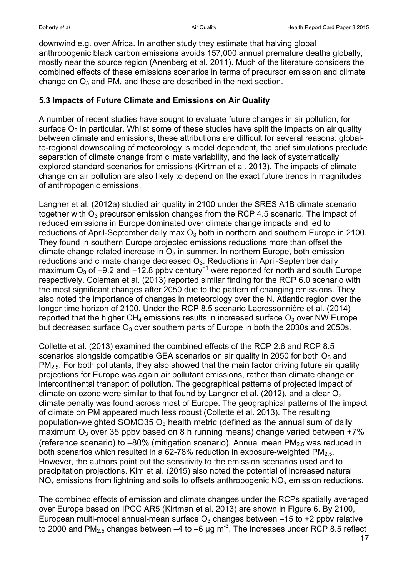downwind e.g. over Africa. In another study they estimate that halving global anthropogenic black carbon emissions avoids 157,000 annual premature deaths globally, mostly near the source region (Anenberg et al. 2011). Much of the literature considers the combined effects of these emissions scenarios in terms of precursor emission and climate change on  $O_3$  and PM, and these are described in the next section.

### **5.3 Impacts of Future Climate and Emissions on Air Quality**

A number of recent studies have sought to evaluate future changes in air pollution, for surface  $O_3$  in particular. Whilst some of these studies have split the impacts on air quality between climate and emissions, these attributions are difficult for several reasons: globalto-regional downscaling of meteorology is model dependent, the brief simulations preclude separation of climate change from climate variability, and the lack of systematically explored standard scenarios for emissions (Kirtman et al. 2013). The impacts of climate change on air pollution are also likely to depend on the exact future trends in magnitudes of anthropogenic emissions.

Langner et al. (2012a) studied air quality in 2100 under the SRES A1B climate scenario together with  $O_3$  precursor emission changes from the RCP 4.5 scenario. The impact of reduced emissions in Europe dominated over climate change impacts and led to reductions of April-September daily max  $O_3$  both in northern and southern Europe in 2100. They found in southern Europe projected emissions reductions more than offset the climate change related increase in  $O_3$  in summer. In northern Europe, both emission reductions and climate change decreased  $O_3$ . Reductions in April-September daily maximum O<sub>3</sub> of −9.2 and −12.8 ppbv century<sup>-1</sup> were reported for north and south Europe respectively. Coleman et al. (2013) reported similar finding for the RCP 6.0 scenario with the most significant changes after 2050 due to the pattern of changing emissions. They also noted the importance of changes in meteorology over the N. Atlantic region over the longer time horizon of 2100. Under the RCP 8.5 scenario Lacressonnière et al. (2014) reported that the higher  $CH_4$  emissions results in increased surface  $O_3$  over NW Europe but decreased surface  $O_3$  over southern parts of Europe in both the 2030s and 2050s.

Collette et al. (2013) examined the combined effects of the RCP 2.6 and RCP 8.5 scenarios alongside compatible GEA scenarios on air quality in 2050 for both  $O_3$  and  $PM<sub>2.5</sub>$ . For both pollutants, they also showed that the main factor driving future air quality projections for Europe was again air pollutant emissions, rather than climate change or intercontinental transport of pollution. The geographical patterns of projected impact of climate on ozone were similar to that found by Langner et al. (2012), and a clear  $O_3$ climate penalty was found across most of Europe. The geographical patterns of the impact of climate on PM appeared much less robust (Collette et al. 2013). The resulting population-weighted SOMO35  $O_3$  health metric (defined as the annual sum of daily maximum  $O_3$  over 35 ppby based on 8 h running means) change varied between  $+7\%$ (reference scenario) to  $-80\%$  (mitigation scenario). Annual mean  $PM_{2.5}$  was reduced in both scenarios which resulted in a 62-78% reduction in exposure-weighted  $PM<sub>2.5</sub>$ . However, the authors point out the sensitivity to the emission scenarios used and to precipitation projections. Kim et al. (2015) also noted the potential of increased natural  $NO<sub>x</sub>$  emissions from lightning and soils to offsets anthropogenic  $NO<sub>x</sub>$  emission reductions.

The combined effects of emission and climate changes under the RCPs spatially averaged over Europe based on IPCC AR5 (Kirtman et al. 2013) are shown in Figure 6. By 2100, European multi-model annual-mean surface  $O_3$  changes between  $-15$  to  $+2$  ppby relative to 2000 and PM<sub>2.5</sub> changes between –4 to –6 µg m<sup>-3</sup>. The increases under RCP 8.5 reflect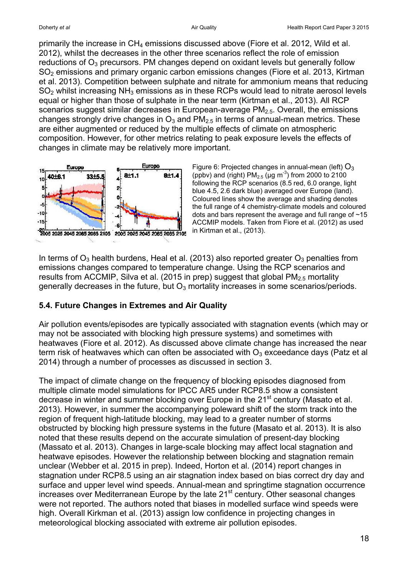primarily the increase in CH<sup>4</sup> emissions discussed above (Fiore et al. 2012, Wild et al. 2012), whilst the decreases in the other three scenarios reflect the role of emission reductions of  $O_3$  precursors. PM changes depend on oxidant levels but generally follow SO<sup>2</sup> emissions and primary organic carbon emissions changes (Fiore et al. 2013, Kirtman et al. 2013). Competition between sulphate and nitrate for ammonium means that reducing  $SO<sub>2</sub>$  whilst increasing NH<sub>3</sub> emissions as in these RCPs would lead to nitrate aerosol levels equal or higher than those of sulphate in the near term (Kirtman et al., 2013). All RCP scenarios suggest similar decreases in European-average  $PM<sub>2.5</sub>$ . Overall, the emissions changes strongly drive changes in  $O_3$  and PM<sub>2.5</sub> in terms of annual-mean metrics. These are either augmented or reduced by the multiple effects of climate on atmospheric composition. However, for other metrics relating to peak exposure levels the effects of changes in climate may be relatively more important.



Figure 6: Projected changes in annual-mean (left)  $\mathsf{O}_3$ (ppbv) and (right)  $PM_{2.5}$  (µg m<sup>-3</sup>) from 2000 to 2100 following the RCP scenarios (8.5 red, 6.0 orange, light blue 4.5, 2.6 dark blue) averaged over Europe (land). Coloured lines show the average and shading denotes the full range of 4 chemistry-climate models and coloured dots and bars represent the average and full range of ~15 ACCMIP models. Taken from Fiore et al. (2012) as used in Kirtman et al., (2013).

In terms of  $O_3$  health burdens, Heal et al. (2013) also reported greater  $O_3$  penalties from emissions changes compared to temperature change. Using the RCP scenarios and results from ACCMIP, Silva et al. (2015 in prep) suggest that global  $PM<sub>2.5</sub>$  mortality generally decreases in the future, but  $O_3$  mortality increases in some scenarios/periods.

## **5.4. Future Changes in Extremes and Air Quality**

Air pollution events/episodes are typically associated with stagnation events (which may or may not be associated with blocking high pressure systems) and sometimes with heatwaves (Fiore et al. 2012). As discussed above climate change has increased the near term risk of heatwaves which can often be associated with  $O<sub>3</sub>$  exceedance days (Patz et al 2014) through a number of processes as discussed in section 3.

The impact of climate change on the frequency of blocking episodes diagnosed from multiple climate model simulations for IPCC AR5 under RCP8.5 show a consistent decrease in winter and summer blocking over Europe in the 21<sup>st</sup> century (Masato et al. 2013). However, in summer the accompanying poleward shift of the storm track into the region of frequent high-latitude blocking, may lead to a greater number of storms obstructed by blocking high pressure systems in the future (Masato et al. 2013). It is also noted that these results depend on the accurate simulation of present-day blocking (Massato et al. 2013). Changes in large-scale blocking may affect local stagnation and heatwave episodes. However the relationship between blocking and stagnation remain unclear (Webber et al. 2015 in prep). Indeed, Horton et al. (2014) report changes in stagnation under RCP8.5 using an air stagnation index based on bias correct dry day and surface and upper level wind speeds. Annual-mean and springtime stagnation occurrence increases over Mediterranean Europe by the late 21<sup>st</sup> century. Other seasonal changes were not reported. The authors noted that biases in modelled surface wind speeds were high. Overall Kirkman et al. (2013) assign low confidence in projecting changes in meteorological blocking associated with extreme air pollution episodes.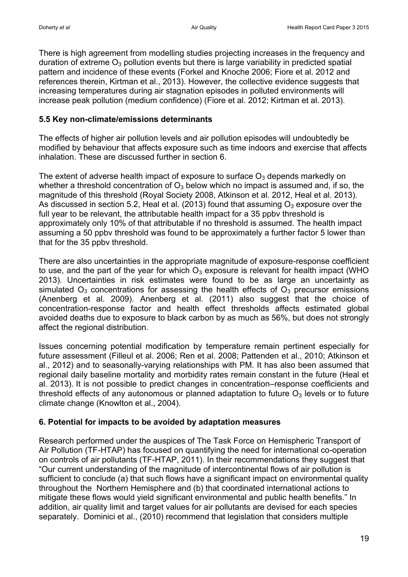There is high agreement from modelling studies projecting increases in the frequency and duration of extreme  $O_3$  pollution events but there is large variability in predicted spatial pattern and incidence of these events (Forkel and Knoche 2006; Fiore et al. 2012 and references therein, Kirtman et al., 2013). However, the collective evidence suggests that increasing temperatures during air stagnation episodes in polluted environments will increase peak pollution (medium confidence) (Fiore et al. 2012; Kirtman et al. 2013).

### **5.5 Key non-climate/emissions determinants**

The effects of higher air pollution levels and air pollution episodes will undoubtedly be modified by behaviour that affects exposure such as time indoors and exercise that affects inhalation. These are discussed further in section 6.

The extent of adverse health impact of exposure to surface  $O_3$  depends markedly on whether a threshold concentration of  $O_3$  below which no impact is assumed and, if so, the magnitude of this threshold (Royal Society 2008, Atkinson et al. 2012, Heal et al. 2013). As discussed in section 5.2, Heal et al. (2013) found that assuming  $O_3$  exposure over the full year to be relevant, the attributable health impact for a 35 ppbv threshold is approximately only 10% of that attributable if no threshold is assumed. The health impact assuming a 50 ppbv threshold was found to be approximately a further factor 5 lower than that for the 35 ppbv threshold.

There are also uncertainties in the appropriate magnitude of exposure-response coefficient to use, and the part of the year for which  $O_3$  exposure is relevant for health impact (WHO 2013). Uncertainties in risk estimates were found to be as large an uncertainty as simulated  $O_3$  concentrations for assessing the health effects of  $O_3$  precursor emissions (Anenberg et al. 2009). Anenberg et al. (2011) also suggest that the choice of concentration-response factor and health effect thresholds affects estimated global avoided deaths due to exposure to black carbon by as much as 56%, but does not strongly affect the regional distribution.

Issues concerning potential modification by temperature remain pertinent especially for future assessment (Filleul et al. 2006; Ren et al. 2008; Pattenden et al., 2010; Atkinson et al., 2012) and to seasonally-varying relationships with PM. It has also been assumed that regional daily baseline mortality and morbidity rates remain constant in the future (Heal et al. 2013). It is not possible to predict changes in concentration–response coefficients and threshold effects of any autonomous or planned adaptation to future  $O<sub>3</sub>$  levels or to future climate change (Knowlton et al., 2004).

#### **6. Potential for impacts to be avoided by adaptation measures**

Research performed under the auspices of The Task Force on Hemispheric Transport of Air Pollution (TF-HTAP) has focused on quantifying the need for international co-operation on controls of air pollutants (TF-HTAP, 2011). In their recommendations they suggest that "Our current understanding of the magnitude of intercontinental flows of air pollution is sufficient to conclude (a) that such flows have a significant impact on environmental quality throughout the Northern Hemisphere and (b) that coordinated international actions to mitigate these flows would yield significant environmental and public health benefits." In addition, air quality limit and target values for air pollutants are devised for each species separately. Dominici et al., (2010) recommend that legislation that considers multiple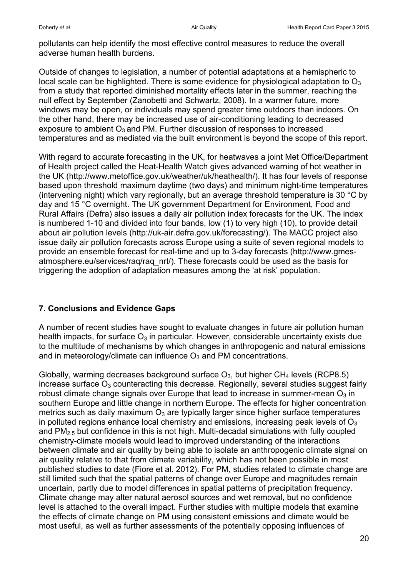pollutants can help identify the most effective control measures to reduce the overall adverse human health burdens.

Outside of changes to legislation, a number of potential adaptations at a hemispheric to local scale can be highlighted. There is some evidence for physiological adaptation to  $O_3$ from a study that reported diminished mortality effects later in the summer, reaching the null effect by September (Zanobetti and Schwartz, 2008). In a warmer future, more windows may be open, or individuals may spend greater time outdoors than indoors. On the other hand, there may be increased use of air-conditioning leading to decreased exposure to ambient  $O_3$  and PM. Further discussion of responses to increased temperatures and as mediated via the built environment is beyond the scope of this report.

With regard to accurate forecasting in the UK, for heatwaves a joint Met Office/Department of Health project called the Heat-Health Watch gives advanced warning of hot weather in the UK (http://www.metoffice.gov.uk/weather/uk/heathealth/). It has four levels of response based upon threshold maximum daytime (two days) and minimum night-time temperatures (intervening night) which vary regionally, but an average threshold temperature is 30 °C by day and 15 °C overnight. The UK government Department for Environment, Food and Rural Affairs (Defra) also issues a daily air pollution index forecasts for the UK. The index is numbered 1-10 and divided into four bands, low (1) to very high (10), to provide detail about air pollution levels (http://uk-air.defra.gov.uk/forecasting/). The MACC project also issue daily air pollution forecasts across Europe using a suite of seven regional models to provide an ensemble forecast for real-time and up to 3-day forecasts (http://www.gmesatmosphere.eu/services/raq/raq\_nrt/). These forecasts could be used as the basis for triggering the adoption of adaptation measures among the 'at risk' population.

## **7. Conclusions and Evidence Gaps**

A number of recent studies have sought to evaluate changes in future air pollution human health impacts, for surface  $O_3$  in particular. However, considerable uncertainty exists due to the multitude of mechanisms by which changes in anthropogenic and natural emissions and in meteorology/climate can influence  $O_3$  and PM concentrations.

Globally, warming decreases background surface  $O_3$ , but higher CH<sub>4</sub> levels (RCP8.5) increase surface  $O_3$  counteracting this decrease. Regionally, several studies suggest fairly robust climate change signals over Europe that lead to increase in summer-mean  $O_3$  in southern Europe and little change in northern Europe. The effects for higher concentration metrics such as daily maximum  $O_3$  are typically larger since higher surface temperatures in polluted regions enhance local chemistry and emissions, increasing peak levels of  $O<sub>3</sub>$ and  $PM<sub>2.5</sub>$  but confidence in this is not high. Multi-decadal simulations with fully coupled chemistry-climate models would lead to improved understanding of the interactions between climate and air quality by being able to isolate an anthropogenic climate signal on air quality relative to that from climate variability, which has not been possible in most published studies to date (Fiore et al. 2012). For PM, studies related to climate change are still limited such that the spatial patterns of change over Europe and magnitudes remain uncertain, partly due to model differences in spatial patterns of precipitation frequency. Climate change may alter natural aerosol sources and wet removal, but no confidence level is attached to the overall impact. Further studies with multiple models that examine the effects of climate change on PM using consistent emissions and climate would be most useful, as well as further assessments of the potentially opposing influences of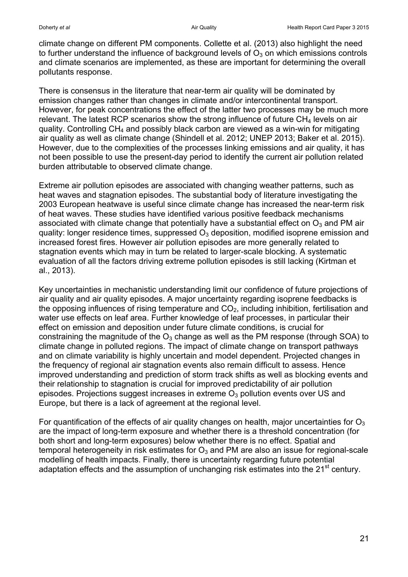climate change on different PM components. Collette et al. (2013) also highlight the need to further understand the influence of background levels of  $O<sub>3</sub>$  on which emissions controls and climate scenarios are implemented, as these are important for determining the overall pollutants response.

There is consensus in the literature that near-term air quality will be dominated by emission changes rather than changes in climate and/or intercontinental transport. However, for peak concentrations the effect of the latter two processes may be much more relevant. The latest RCP scenarios show the strong influence of future CH<sub>4</sub> levels on air quality. Controlling  $CH_4$  and possibly black carbon are viewed as a win-win for mitigating air quality as well as climate change (Shindell et al. 2012; UNEP 2013; Baker et al. 2015). However, due to the complexities of the processes linking emissions and air quality, it has not been possible to use the present-day period to identify the current air pollution related burden attributable to observed climate change.

Extreme air pollution episodes are associated with changing weather patterns, such as heat waves and stagnation episodes. The substantial body of literature investigating the 2003 European heatwave is useful since climate change has increased the near-term risk of heat waves. These studies have identified various positive feedback mechanisms associated with climate change that potentially have a substantial effect on  $O_3$  and PM air quality: longer residence times, suppressed  $O_3$  deposition, modified isoprene emission and increased forest fires. However air pollution episodes are more generally related to stagnation events which may in turn be related to larger-scale blocking. A systematic evaluation of all the factors driving extreme pollution episodes is still lacking (Kirtman et al., 2013).

Key uncertainties in mechanistic understanding limit our confidence of future projections of air quality and air quality episodes. A major uncertainty regarding isoprene feedbacks is the opposing influences of rising temperature and  $CO<sub>2</sub>$ , including inhibition, fertilisation and water use effects on leaf area. Further knowledge of leaf processes, in particular their effect on emission and deposition under future climate conditions, is crucial for constraining the magnitude of the  $O_3$  change as well as the PM response (through SOA) to climate change in polluted regions. The impact of climate change on transport pathways and on climate variability is highly uncertain and model dependent. Projected changes in the frequency of regional air stagnation events also remain difficult to assess. Hence improved understanding and prediction of storm track shifts as well as blocking events and their relationship to stagnation is crucial for improved predictability of air pollution episodes. Projections suggest increases in extreme  $O<sub>3</sub>$  pollution events over US and Europe, but there is a lack of agreement at the regional level.

For quantification of the effects of air quality changes on health, major uncertainties for  $O_3$ are the impact of long-term exposure and whether there is a threshold concentration (for both short and long-term exposures) below whether there is no effect. Spatial and temporal heterogeneity in risk estimates for  $O_3$  and PM are also an issue for regional-scale modelling of health impacts. Finally, there is uncertainty regarding future potential adaptation effects and the assumption of unchanging risk estimates into the 21<sup>st</sup> century.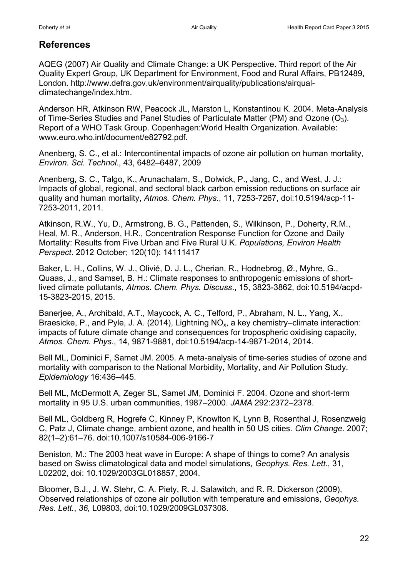# **References**

AQEG (2007) Air Quality and Climate Change: a UK Perspective. Third report of the Air Quality Expert Group, UK Department for Environment, Food and Rural Affairs, PB12489, London. http://www.defra.gov.uk/environment/airquality/publications/airqualclimatechange/index.htm.

Anderson HR, Atkinson RW, Peacock JL, Marston L, Konstantinou K. 2004. Meta-Analysis of Time-Series Studies and Panel Studies of Particulate Matter (PM) and Ozone  $(O_3)$ . Report of a WHO Task Group. Copenhagen:World Health Organization. Available: www.euro.who.int/document/e82792.pdf.

Anenberg, S. C., et al.: Intercontinental impacts of ozone air pollution on human mortality, *Environ. Sci. Technol*., 43, 6482–6487, 2009

Anenberg, S. C., Talgo, K., Arunachalam, S., Dolwick, P., Jang, C., and West, J. J.: Impacts of global, regional, and sectoral black carbon emission reductions on surface air quality and human mortality, *Atmos. Chem. Phys*., 11, 7253-7267, doi:10.5194/acp-11- 7253-2011, 2011.

Atkinson, R.W., Yu, D., Armstrong, B. G., Pattenden, S., Wilkinson, P., Doherty, R.M., Heal, M. R., Anderson, H.R., Concentration Response Function for Ozone and Daily Mortality: Results from Five Urban and Five Rural U.K. *Populations, Environ Health Perspect*. 2012 October; 120(10): 14111417

Baker, L. H., Collins, W. J., Olivié, D. J. L., Cherian, R., Hodnebrog, Ø., Myhre, G., Quaas, J., and Samset, B. H.: Climate responses to anthropogenic emissions of shortlived climate pollutants, *Atmos. Chem. Phys. Discuss*., 15, 3823-3862, doi:10.5194/acpd-15-3823-2015, 2015.

Banerjee, A., Archibald, A.T., Maycock, A. C., Telford, P., Abraham, N. L., Yang, X., Braesicke, P., and Pyle, J. A. (2014), Lightning  $NO<sub>x</sub>$ , a key chemistry–climate interaction: impacts of future climate change and consequences for tropospheric oxidising capacity, *Atmos. Chem. Phys*., 14, 9871-9881, doi:10.5194/acp-14-9871-2014, 2014.

Bell ML, Dominici F, Samet JM. 2005. A meta-analysis of time-series studies of ozone and mortality with comparison to the National Morbidity, Mortality, and Air Pollution Study. *Epidemiology* 16:436–445.

Bell ML, McDermott A, Zeger SL, Samet JM, Dominici F. 2004. Ozone and short-term mortality in 95 U.S. urban communities, 1987–2000. *JAMA* 292:2372–2378.

Bell ML, Goldberg R, Hogrefe C, Kinney P, Knowlton K, Lynn B, Rosenthal J, Rosenzweig C, Patz J, Climate change, ambient ozone, and health in 50 US cities. *Clim Change*. 2007; 82(1–2):61–76. doi:10.1007/s10584-006-9166-7

Beniston, M.: The 2003 heat wave in Europe: A shape of things to come? An analysis based on Swiss climatological data and model simulations, *Geophys. Res. Lett*., 31, L02202, doi: 10.1029/2003GL018857, 2004.

Bloomer, B.J., J. W. Stehr, C. A. Piety, R. J. Salawitch, and R. R. Dickerson (2009), Observed relationships of ozone air pollution with temperature and emissions, *Geophys. Res. Lett.*, *36,* L09803, doi:10.1029/2009GL037308.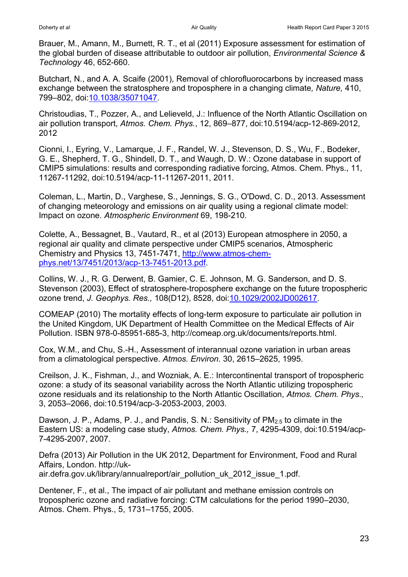Brauer, M., Amann, M., Burnett, R. T., et al (2011) Exposure assessment for estimation of the global burden of disease attributable to outdoor air pollution, *Environmental Science & Technology* 46, 652-660.

Butchart, N., and A. A. Scaife (2001), Removal of chlorofluorocarbons by increased mass exchange between the stratosphere and troposphere in a changing climate*, Nature,* 410, 799–802, doi[:10.1038/35071047.](http://dx.doi.org/10.1038/35071047)

Christoudias, T., Pozzer, A., and Lelieveld, J.: Influence of the North Atlantic Oscillation on air pollution transport, *Atmos. Chem. Phys.*, 12, 869–877, doi:10.5194/acp-12-869-2012, 2012

Cionni, I., Eyring, V., Lamarque, J. F., Randel, W. J., Stevenson, D. S., Wu, F., Bodeker, G. E., Shepherd, T. G., Shindell, D. T., and Waugh, D. W.: Ozone database in support of CMIP5 simulations: results and corresponding radiative forcing, Atmos. Chem. Phys., 11, 11267-11292, doi:10.5194/acp-11-11267-2011, 2011.

Coleman, L., Martin, D., Varghese, S., Jennings, S. G., O'Dowd, C. D., 2013. Assessment of changing meteorology and emissions on air quality using a regional climate model: Impact on ozone. *Atmospheric Environment* 69, 198-210.

Colette, A., Bessagnet, B., Vautard, R., et al (2013) European atmosphere in 2050, a regional air quality and climate perspective under CMIP5 scenarios, Atmospheric Chemistry and Physics 13, 7451-7471, [http://www.atmos-chem](http://www.atmos-chem-phys.net/13/7451/2013/acp-13-7451-2013.pdf)[phys.net/13/7451/2013/acp-13-7451-2013.pdf.](http://www.atmos-chem-phys.net/13/7451/2013/acp-13-7451-2013.pdf)

Collins, W. J., R. G. Derwent, B. Gamier, C. E. Johnson, M. G. Sanderson, and D. S. Stevenson (2003), Effect of stratosphere-troposphere exchange on the future tropospheric ozone trend, *J. Geophys. Res.,* 108(D12), 8528, doi[:10.1029/2002JD002617.](http://dx.doi.org/10.1029/2002JD002617)

COMEAP (2010) The mortality effects of long-term exposure to particulate air pollution in the United Kingdom, UK Department of Health Committee on the Medical Effects of Air Pollution. ISBN 978-0-85951-685-3, http://comeap.org.uk/documents/reports.html.

Cox, W.M., and Chu, S.-H., Assessment of interannual ozone variation in urban areas from a climatological perspective. *Atmos. Environ*. 30, 2615–2625, 1995.

Creilson, J. K., Fishman, J., and Wozniak, A. E.: Intercontinental transport of tropospheric ozone: a study of its seasonal variability across the North Atlantic utilizing tropospheric ozone residuals and its relationship to the North Atlantic Oscillation, *Atmos. Chem. Phys.,*  3, 2053–2066, doi:10.5194/acp-3-2053-2003, 2003.

Dawson, J. P., Adams, P. J., and Pandis, S. N.: Sensitivity of  $PM_{2.5}$  to climate in the Eastern US: a modeling case study, *Atmos. Chem. Phys.,* 7, 4295-4309, doi:10.5194/acp-7-4295-2007, 2007.

Defra (2013) Air Pollution in the UK 2012, Department for Environment, Food and Rural Affairs, London. http://ukair.defra.gov.uk/library/annualreport/air\_pollution\_uk\_2012\_issue\_1.pdf.

Dentener, F., et al., The impact of air pollutant and methane emission controls on tropospheric ozone and radiative forcing: CTM calculations for the period 1990–2030, Atmos. Chem. Phys., 5, 1731–1755, 2005.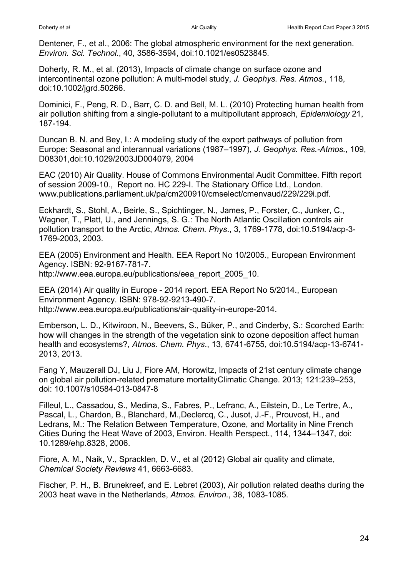Dentener, F., et al., 2006: The global atmospheric environment for the next generation. *Environ. Sci. Technol*., 40, 3586-3594, doi:10.1021/es0523845.

Doherty, R. M., et al. (2013), Impacts of climate change on surface ozone and intercontinental ozone pollution: A multi-model study, *J. Geophys. Res. Atmos.*, 118, doi:10.1002/jgrd.50266.

Dominici, F., Peng, R. D., Barr, C. D. and Bell, M. L. (2010) Protecting human health from air pollution shifting from a single-pollutant to a multipollutant approach, *Epidemiology* 21, 187-194.

Duncan B. N. and Bey, I.: A modeling study of the export pathways of pollution from Europe: Seasonal and interannual variations (1987–1997), *J. Geophys. Res.-Atmos.*, 109, D08301,doi:10.1029/2003JD004079, 2004

EAC (2010) Air Quality. House of Commons Environmental Audit Committee. Fifth report of session 2009-10., Report no. HC 229-I. The Stationary Office Ltd., London. www.publications.parliament.uk/pa/cm200910/cmselect/cmenvaud/229/229i.pdf.

Eckhardt, S., Stohl, A., Beirle, S., Spichtinger, N., James, P., Forster, C., Junker, C., Wagner, T., Platt, U., and Jennings, S. G.: The North Atlantic Oscillation controls air pollution transport to the Arctic, *Atmos. Chem. Phys*., 3, 1769-1778, doi:10.5194/acp-3- 1769-2003, 2003.

EEA (2005) Environment and Health. EEA Report No 10/2005., European Environment Agency. ISBN: 92-9167-781-7.

http://www.eea.europa.eu/publications/eea\_report\_2005\_10.

EEA (2014) Air quality in Europe - 2014 report. EEA Report No 5/2014., European Environment Agency. ISBN: 978-92-9213-490-7. http://www.eea.europa.eu/publications/air-quality-in-europe-2014.

Emberson, L. D., Kitwiroon, N., Beevers, S., Büker, P., and Cinderby, S.: Scorched Earth: how will changes in the strength of the vegetation sink to ozone deposition affect human health and ecosystems?, *Atmos. Chem. Phys*., 13, 6741-6755, doi:10.5194/acp-13-6741- 2013, 2013.

Fang Y, Mauzerall DJ, Liu J, Fiore AM, Horowitz, Impacts of 21st century climate change on global air pollution-related premature mortalityClimatic Change. 2013; 121:239–253, doi: 10.1007/s10584-013-0847-8

Filleul, L., Cassadou, S., Medina, S., Fabres, P., Lefranc, A., Eilstein, D., Le Tertre, A., Pascal, L., Chardon, B., Blanchard, M.,Declercq, C., Jusot, J.-F., Prouvost, H., and Ledrans, M.: The Relation Between Temperature, Ozone, and Mortality in Nine French Cities During the Heat Wave of 2003, Environ. Health Perspect., 114, 1344–1347, doi: 10.1289/ehp.8328, 2006.

Fiore, A. M., Naik, V., Spracklen, D. V., et al (2012) Global air quality and climate, *Chemical Society Reviews* 41, 6663-6683.

Fischer, P. H., B. Brunekreef, and E. Lebret (2003), Air pollution related deaths during the 2003 heat wave in the Netherlands, *Atmos. Environ.*, 38, 1083-1085.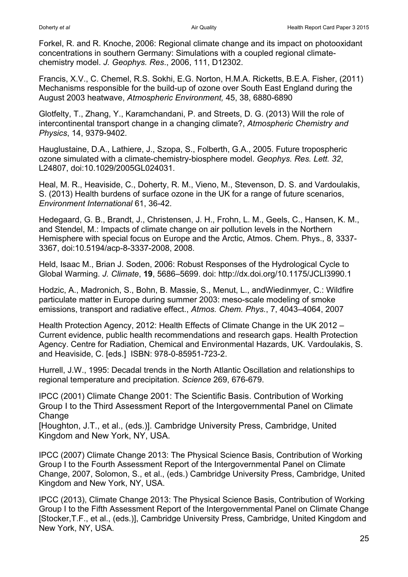Forkel, R. and R. Knoche, 2006: Regional climate change and its impact on photooxidant concentrations in southern Germany: Simulations with a coupled regional climatechemistry model. *J. Geophys. Res*., 2006, 111, D12302.

Francis, X.V., C. Chemel, R.S. Sokhi, E.G. Norton, H.M.A. Ricketts, B.E.A. Fisher, (2011) Mechanisms responsible for the build-up of ozone over South East England during the August 2003 heatwave, *Atmospheric Environment,* 45, 38, 6880-6890

Glotfelty, T., Zhang, Y., Karamchandani, P. and Streets, D. G. (2013) Will the role of intercontinental transport change in a changing climate?, *Atmospheric Chemistry and Physics*, 14, 9379-9402.

Hauglustaine, D.A., Lathiere, J., Szopa, S., Folberth, G.A., 2005. Future tropospheric ozone simulated with a climate-chemistry-biosphere model. *Geophys. Res. Lett. 32*, L24807, doi:10.1029/2005GL024031.

Heal, M. R., Heaviside, C., Doherty, R. M., Vieno, M., Stevenson, D. S. and Vardoulakis, S. (2013) Health burdens of surface ozone in the UK for a range of future scenarios, *Environment International* 61, 36-42.

Hedegaard, G. B., Brandt, J., Christensen, J. H., Frohn, L. M., Geels, C., Hansen, K. M., and Stendel, M.: Impacts of climate change on air pollution levels in the Northern Hemisphere with special focus on Europe and the Arctic, Atmos. Chem. Phys., 8, 3337- 3367, doi:10.5194/acp-8-3337-2008, 2008.

Held, Isaac M., Brian J. Soden, 2006: Robust Responses of the Hydrological Cycle to Global Warming. *J. Climate*, **19**, 5686–5699. doi: http://dx.doi.org/10.1175/JCLI3990.1

Hodzic, A., Madronich, S., Bohn, B. Massie, S., Menut, L., andWiedinmyer, C.: Wildfire particulate matter in Europe during summer 2003: meso-scale modeling of smoke emissions, transport and radiative effect., *Atmos. Chem. Phys.*, 7, 4043–4064, 2007

Health Protection Agency, 2012: Health Effects of Climate Change in the UK 2012 – Current evidence, public health recommendations and research gaps. Health Protection Agency. Centre for Radiation, Chemical and Environmental Hazards, UK. Vardoulakis, S. and Heaviside, C. [eds.] ISBN: 978-0-85951-723-2.

Hurrell, J.W., 1995: Decadal trends in the North Atlantic Oscillation and relationships to regional temperature and precipitation. *Science* 269, 676-679.

IPCC (2001) Climate Change 2001: The Scientific Basis. Contribution of Working Group I to the Third Assessment Report of the Intergovernmental Panel on Climate **Change** 

[Houghton, J.T., et al., (eds.)]. Cambridge University Press, Cambridge, United Kingdom and New York, NY, USA.

IPCC (2007) Climate Change 2013: The Physical Science Basis, Contribution of Working Group I to the Fourth Assessment Report of the Intergovernmental Panel on Climate Change, 2007, Solomon, S., et al., (eds.) Cambridge University Press, Cambridge, United Kingdom and New York, NY, USA.

IPCC (2013), Climate Change 2013: The Physical Science Basis, Contribution of Working Group I to the Fifth Assessment Report of the Intergovernmental Panel on Climate Change [Stocker,T.F., et al., (eds.)], Cambridge University Press, Cambridge, United Kingdom and New York, NY, USA.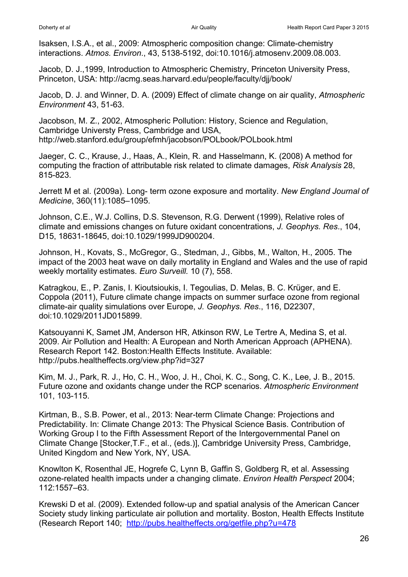Isaksen, I.S.A., et al., 2009: Atmospheric composition change: Climate-chemistry interactions. *Atmos. Environ*., 43, 5138-5192, doi:10.1016/j.atmosenv.2009.08.003.

Jacob, D. J.,1999, Introduction to Atmospheric Chemistry, Princeton University Press, Princeton, USA: http://acmg.seas.harvard.edu/people/faculty/djj/book/

Jacob, D. J. and Winner, D. A. (2009) Effect of climate change on air quality, *Atmospheric Environment* 43, 51-63.

Jacobson, M. Z., 2002, Atmospheric Pollution: History, Science and Regulation, Cambridge Universty Press, Cambridge and USA, http://web.stanford.edu/group/efmh/jacobson/POLbook/POLbook.html

Jaeger, C. C., Krause, J., Haas, A., Klein, R. and Hasselmann, K. (2008) A method for computing the fraction of attributable risk related to climate damages, *Risk Analysis* 28, 815-823.

Jerrett M et al. (2009a). Long- term ozone exposure and mortality. *New England Journal of Medicine*, 360(11):1085–1095.

Johnson, C.E., W.J. Collins, D.S. Stevenson, R.G. Derwent (1999), Relative roles of climate and emissions changes on future oxidant concentrations, *J. Geophys. Res*., 104, D15, 18631-18645, doi:10.1029/1999JD900204.

Johnson, H., Kovats, S., McGregor, G., Stedman, J., Gibbs, M., Walton, H., 2005. The impact of the 2003 heat wave on daily mortality in England and Wales and the use of rapid weekly mortality estimates. *Euro Surveill.* 10 (7), 558.

Katragkou, E., P. Zanis, I. Kioutsioukis, I. Tegoulias, D. Melas, B. C. Krüger, and E. Coppola (2011), Future climate change impacts on summer surface ozone from regional climate-air quality simulations over Europe, *J. Geophys. Res*., 116, D22307, doi:10.1029/2011JD015899.

Katsouyanni K, Samet JM, Anderson HR, Atkinson RW, Le Tertre A, Medina S, et al. 2009. Air Pollution and Health: A European and North American Approach (APHENA). Research Report 142. Boston:Health Effects Institute. Available: http://pubs.healtheffects.org/view.php?id=327

Kim, M. J., Park, R. J., Ho, C. H., Woo, J. H., Choi, K. C., Song, C. K., Lee, J. B., 2015. Future ozone and oxidants change under the RCP scenarios. *Atmospheric Environment*  101, 103-115.

Kirtman, B., S.B. Power, et al., 2013: Near-term Climate Change: Projections and Predictability. In: Climate Change 2013: The Physical Science Basis. Contribution of Working Group I to the Fifth Assessment Report of the Intergovernmental Panel on Climate Change [Stocker,T.F., et al., (eds.)], Cambridge University Press, Cambridge, United Kingdom and New York, NY, USA.

Knowlton K, Rosenthal JE, Hogrefe C, Lynn B, Gaffin S, Goldberg R, et al. Assessing ozone-related health impacts under a changing climate. *Environ Health Perspect* 2004; 112:1557–63.

Krewski D et al. (2009). Extended follow-up and spatial analysis of the American Cancer Society study linking particulate air pollution and mortality. Boston, Health Effects Institute (Research Report 140; <http://pubs.healtheffects.org/getfile.php?u=478>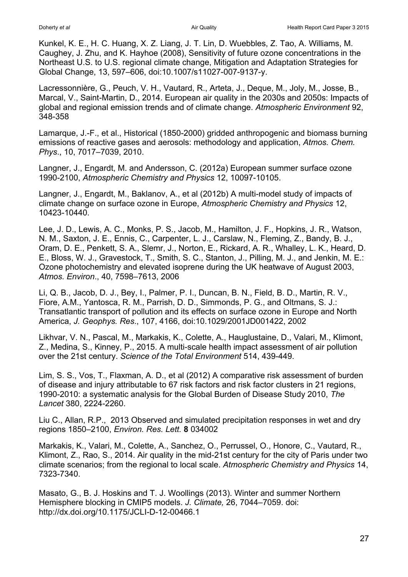Kunkel, K. E., H. C. Huang, X. Z. Liang, J. T. Lin, D. Wuebbles, Z. Tao, A. Williams, M. Caughey, J. Zhu, and K. Hayhoe (2008), Sensitivity of future ozone concentrations in the Northeast U.S. to U.S. regional climate change, Mitigation and Adaptation Strategies for Global Change, 13, 597–606, doi:10.1007/s11027-007-9137-y.

Lacressonnière, G., Peuch, V. H., Vautard, R., Arteta, J., Deque, M., Joly, M., Josse, B., Marcal, V., Saint-Martin, D., 2014. European air quality in the 2030s and 2050s: Impacts of global and regional emission trends and of climate change. *Atmospheric Environment* 92, 348-358

Lamarque, J.-F., et al., Historical (1850-2000) gridded anthropogenic and biomass burning emissions of reactive gases and aerosols: methodology and application, *Atmos. Chem. Phys*., 10, 7017–7039, 2010.

Langner, J., Engardt, M. and Andersson, C. (2012a) European summer surface ozone 1990-2100, *Atmospheric Chemistry and Physics* 12, 10097-10105.

Langner, J., Engardt, M., Baklanov, A., et al (2012b) A multi-model study of impacts of climate change on surface ozone in Europe, *Atmospheric Chemistry and Physics* 12, 10423-10440.

Lee, J. D., Lewis, A. C., Monks, P. S., Jacob, M., Hamilton, J. F., Hopkins, J. R., Watson, N. M., Saxton, J. E., Ennis, C., Carpenter, L. J., Carslaw, N., Fleming, Z., Bandy, B. J., Oram, D. E., Penkett, S. A., Slemr, J., Norton, E., Rickard, A. R., Whalley, L. K., Heard, D. E., Bloss, W. J., Gravestock, T., Smith, S. C., Stanton, J., Pilling, M. J., and Jenkin, M. E.: Ozone photochemistry and elevated isoprene during the UK heatwave of August 2003, *Atmos. Environ*., 40, 7598–7613, 2006

Li, Q. B., Jacob, D. J., Bey, I., Palmer, P. I., Duncan, B. N., Field, B. D., Martin, R. V., Fiore, A.M., Yantosca, R. M., Parrish, D. D., Simmonds, P. G., and Oltmans, S. J.: Transatlantic transport of pollution and its effects on surface ozone in Europe and North America, *J. Geophys. Res*., 107, 4166, doi:10.1029/2001JD001422, 2002

Likhvar, V. N., Pascal, M., Markakis, K., Colette, A., Hauglustaine, D., Valari, M., Klimont, Z., Medina, S., Kinney, P., 2015. A multi-scale health impact assessment of air pollution over the 21st century. *Science of the Total Environment* 514, 439-449.

Lim, S. S., Vos, T., Flaxman, A. D., et al (2012) A comparative risk assessment of burden of disease and injury attributable to 67 risk factors and risk factor clusters in 21 regions, 1990-2010: a systematic analysis for the Global Burden of Disease Study 2010, *The Lancet* 380, 2224-2260.

Liu C., Allan, R.P., 2013 Observed and simulated precipitation responses in wet and dry regions 1850–2100, *Environ. Res. Lett.* **8** 034002

Markakis, K., Valari, M., Colette, A., Sanchez, O., Perrussel, O., Honore, C., Vautard, R., Klimont, Z., Rao, S., 2014. Air quality in the mid-21st century for the city of Paris under two climate scenarios; from the regional to local scale. *Atmospheric Chemistry and Physics* 14, 7323-7340.

Masato, G., B. J. Hoskins and T. J. Woollings (2013). Winter and summer Northern Hemisphere blocking in CMIP5 models. *J. Climate,* 26, 7044–7059. doi: http://dx.doi.org/10.1175/JCLI-D-12-00466.1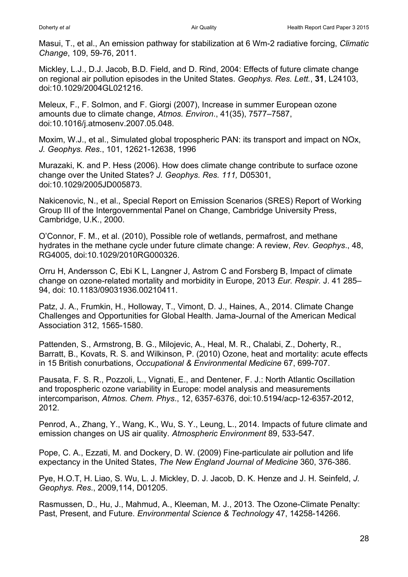Masui, T., et al., An emission pathway for stabilization at 6 Wm-2 radiative forcing, *Climatic Change*, 109, 59-76, 2011.

Mickley, L.J., D.J. Jacob, B.D. Field, and D. Rind, 2004: Effects of future climate change on regional air pollution episodes in the United States. *Geophys. Res. Lett.*, **31**, L24103, doi:10.1029/2004GL021216.

Meleux, F., F. Solmon, and F. Giorgi (2007), Increase in summer European ozone amounts due to climate change, *Atmos. Environ*., 41(35), 7577–7587, doi:10.1016/j.atmosenv.2007.05.048.

Moxim, W.J., et al., Simulated global tropospheric PAN: its transport and impact on NOx, *J. Geophys. Res*., 101, 12621-12638, 1996

Murazaki, K. and P. Hess (2006). How does climate change contribute to surface ozone change over the United States? *J. Geophys. Res. 111,* D05301, doi:10.1029/2005JD005873.

Nakicenovic, N., et al., Special Report on Emission Scenarios (SRES) Report of Working Group III of the Intergovernmental Panel on Change, Cambridge University Press, Cambridge, U.K., 2000.

O'Connor, F. M., et al. (2010), Possible role of wetlands, permafrost, and methane hydrates in the methane cycle under future climate change: A review, *Rev. Geophys*., 48, RG4005, doi:10.1029/2010RG000326.

Orru H, Andersson C, Ebi K L, Langner J, Astrom C and Forsberg B, Impact of climate change on ozone-related mortality and morbidity in Europe, 2013 *Eur. Respir.* J. 41 285– 94, doi: 10.1183/09031936.00210411.

Patz, J. A., Frumkin, H., Holloway, T., Vimont, D. J., Haines, A., 2014. Climate Change Challenges and Opportunities for Global Health. Jama-Journal of the American Medical Association 312, 1565-1580.

Pattenden, S., Armstrong, B. G., Milojevic, A., Heal, M. R., Chalabi, Z., Doherty, R., Barratt, B., Kovats, R. S. and Wilkinson, P. (2010) Ozone, heat and mortality: acute effects in 15 British conurbations, *Occupational & Environmental Medicine* 67, 699-707.

Pausata, F. S. R., Pozzoli, L., Vignati, E., and Dentener, F. J.: North Atlantic Oscillation and tropospheric ozone variability in Europe: model analysis and measurements intercomparison, *Atmos. Chem. Phys*., 12, 6357-6376, doi:10.5194/acp-12-6357-2012, 2012.

Penrod, A., Zhang, Y., Wang, K., Wu, S. Y., Leung, L., 2014. Impacts of future climate and emission changes on US air quality. *Atmospheric Environment* 89, 533-547.

Pope, C. A., Ezzati, M. and Dockery, D. W. (2009) Fine-particulate air pollution and life expectancy in the United States, *The New England Journal of Medicine* 360, 376-386.

Pye, H.O.T, H. Liao, S. Wu, L. J. Mickley, D. J. Jacob, D. K. Henze and J. H. Seinfeld, *J. Geophys. Res*., 2009,114, D01205.

Rasmussen, D., Hu, J., Mahmud, A., Kleeman, M. J., 2013. The Ozone-Climate Penalty: Past, Present, and Future. *Environmental Science & Technology* 47, 14258-14266.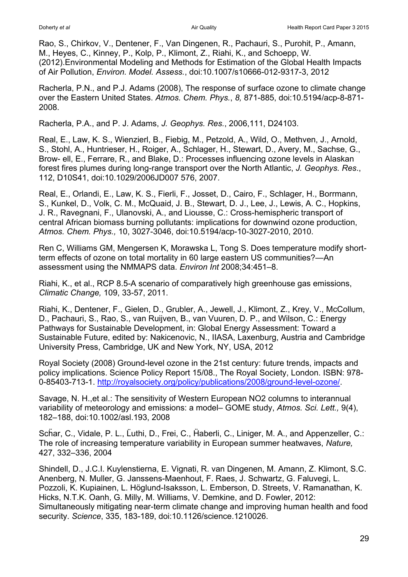Rao, S., Chirkov, V., Dentener, F., Van Dingenen, R., Pachauri, S., Purohit, P., Amann, M., Heyes, C., Kinney, P., Kolp, P., Klimont, Z., Riahi, K., and Schoepp, W. (2012).Environmental Modeling and Methods for Estimation of the Global Health Impacts of Air Pollution, *Environ. Model. Assess.*, doi:10.1007/s10666-012-9317-3, 2012

Racherla, P.N., and P.J. Adams (2008), The response of surface ozone to climate change over the Eastern United States. *Atmos. Chem. Phys.*, *8,* 871-885, doi:10.5194/acp-8-871- 2008.

Racherla, P.A., and P. J. Adams, *J. Geophys. Res.*, 2006,111, D24103.

Real, E., Law, K. S., Wienzierl, B., Fiebig, M., Petzold, A., Wild, O., Methven, J., Arnold, S., Stohl, A., Huntrieser, H., Roiger, A., Schlager, H., Stewart, D., Avery, M., Sachse, G., Brow- ell, E., Ferrare, R., and Blake, D.: Processes influencing ozone levels in Alaskan forest fires plumes during long-range transport over the North Atlantic, *J. Geophys. Res*., 112, D10S41, doi:10.1029/2006JD007 576, 2007.

Real, E., Orlandi, E., Law, K. S., Fierli, F., Josset, D., Cairo, F., Schlager, H., Borrmann, S., Kunkel, D., Volk, C. M., McQuaid, J. B., Stewart, D. J., Lee, J., Lewis, A. C., Hopkins, J. R., Ravegnani, F., Ulanovski, A., and Liousse, C.: Cross-hemispheric transport of central African biomass burning pollutants: implications for downwind ozone production, *Atmos. Chem. Phys.,* 10, 3027-3046, doi:10.5194/acp-10-3027-2010, 2010.

Ren C, Williams GM, Mengersen K, Morawska L, Tong S. Does temperature modify shortterm effects of ozone on total mortality in 60 large eastern US communities?—An assessment using the NMMAPS data. *Environ Int* 2008;34:451–8.

Riahi, K., et al., RCP 8.5-A scenario of comparatively high greenhouse gas emissions, *Climatic Change,* 109, 33-57, 2011.

Riahi, K., Dentener, F., Gielen, D., Grubler, A., Jewell, J., Klimont, Z., Krey, V., McCollum, D., Pachauri, S., Rao, S., van Ruijven, B., van Vuuren, D. P., and Wilson, C.: Energy Pathways for Sustainable Development, in: Global Energy Assessment: Toward a Sustainable Future, edited by: Nakicenovic, N., IIASA, Laxenburg, Austria and Cambridge University Press, Cambridge, UK and New York, NY, USA, 2012

Royal Society (2008) Ground-level ozone in the 21st century: future trends, impacts and policy implications. Science Policy Report 15/08., The Royal Society, London. ISBN: 978- 0-85403-713-1. [http://royalsociety.org/policy/publications/2008/ground-level-ozone/.](http://royalsociety.org/policy/publications/2008/ground-level-ozone/)

Savage, N. H.,et al.: The sensitivity of Western European NO2 columns to interannual variability of meteorology and emissions: a model– GOME study, *Atmos. Sci. Lett.,* 9(4), 182–188, doi:10.1002/asl.193, 2008

Schar, C., Vidale, P. L., Luthi, D., Frei, C., Haberli, C., Liniger, M. A., and Appenzeller, C.: The role of increasing temperature variability in European summer heatwaves, *Nature,* 427, 332–336, 2004

Shindell, D., J.C.I. Kuylenstierna, E. Vignati, R. van Dingenen, M. Amann, Z. Klimont, S.C. Anenberg, N. Muller, G. Janssens-Maenhout, F. Raes, J. Schwartz, G. Faluvegi, L. Pozzoli, K. Kupiainen, L. Höglund-Isaksson, L. Emberson, D. Streets, V. Ramanathan, K. Hicks, N.T.K. Oanh, G. Milly, M. Williams, V. Demkine, and D. Fowler, 2012: [Simultaneously mitigating near-term climate change and improving human health and food](http://pubs.giss.nasa.gov/abs/sh01600h.html)  [security.](http://pubs.giss.nasa.gov/abs/sh01600h.html) *Science*, 335, 183-189, doi:10.1126/science.1210026.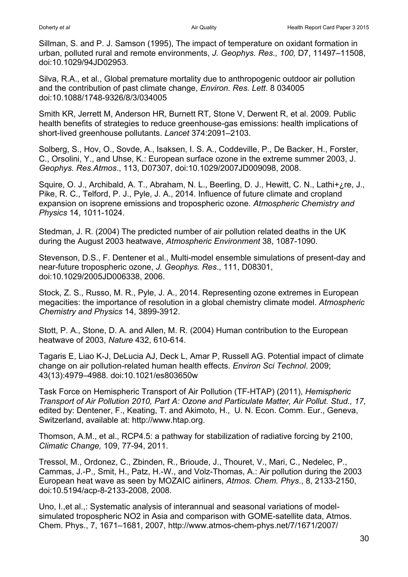Sillman, S. and P. J. Samson (1995), The impact of temperature on oxidant formation in urban, polluted rural and remote environments, *J. Geophys. Res., 100,* D7, 11497–11508, doi:10.1029/94JD02953.

Silva, R.A., et al., Global premature mortality due to anthropogenic outdoor air pollution and the contribution of past climate change, *Environ. Res. Lett*. 8 034005 doi:10.1088/1748-9326/8/3/034005

Smith KR, Jerrett M, Anderson HR, Burnett RT, Stone V, Derwent R, et al. 2009. Public health benefits of strategies to reduce greenhouse-gas emissions: health implications of short-lived greenhouse pollutants. *Lancet* 374:2091–2103.

Solberg, S., Hov, O., Sovde, A., Isaksen, I. S. A., Coddeville, P., De Backer, H., Forster, C., Orsolini, Y., and Uhse, K.: European surface ozone in the extreme summer 2003, J. *Geophys. Res.Atmos*., 113, D07307, doi:10.1029/2007JD009098, 2008.

Squire, O. J., Archibald, A. T., Abraham, N. L., Beerling, D. J., Hewitt, C. N., Lathi+¿re, J., Pike, R. C., Telford, P. J., Pyle, J. A., 2014. Influence of future climate and cropland expansion on isoprene emissions and tropospheric ozone. *Atmospheric Chemistry and Physics* 14, 1011-1024.

Stedman, J. R. (2004) The predicted number of air pollution related deaths in the UK during the August 2003 heatwave, *Atmospheric Environment* 38, 1087-1090.

Stevenson, D.S., F. Dentener et al., Multi-model ensemble simulations of present-day and near-future tropospheric ozone, *J. Geophys. Res*., 111, D08301, doi:10.1029/2005JD006338, 2006.

Stock, Z. S., Russo, M. R., Pyle, J. A., 2014. Representing ozone extremes in European megacities: the importance of resolution in a global chemistry climate model. *Atmospheric Chemistry and Physics* 14, 3899-3912.

Stott, P. A., Stone, D. A. and Allen, M. R. (2004) Human contribution to the European heatwave of 2003, *Nature* 432, 610-614.

Tagaris E, Liao K-J, DeLucia AJ, Deck L, Amar P, Russell AG. Potential impact of climate change on air pollution-related human health effects. *Environ Sci Technol*. 2009; 43(13):4979–4988. doi:10.1021/es803650w

Task Force on Hemispheric Transport of Air Pollution (TF-HTAP) (2011), *Hemispheric Transport of Air Pollution 2010, Part A: Ozone and Particulate Matter, Air Pollut. Stud., 17,* edited by: Dentener, F., Keating, T. and Akimoto, H., U. N. Econ. Comm. Eur., Geneva, Switzerland, available at: http://www.htap.org.

Thomson, A.M., et al., RCP4.5: a pathway for stabilization of radiative forcing by 2100, *Climatic Change,* 109, 77-94, 2011.

Tressol, M., Ordonez, C., Zbinden, R., Brioude, J., Thouret, V., Mari, C., Nedelec, P., Cammas, J.-P., Smit, H., Patz, H.-W., and Volz-Thomas, A.: Air pollution during the 2003 European heat wave as seen by MOZAIC airliners, *Atmos. Chem. Phys*., 8, 2133-2150, doi:10.5194/acp-8-2133-2008, 2008.

Uno, I.,et al.,: Systematic analysis of interannual and seasonal variations of modelsimulated tropospheric NO2 in Asia and comparison with GOME-satellite data, Atmos. Chem. Phys., 7, 1671–1681, 2007, http://www.atmos-chem-phys.net/7/1671/2007/